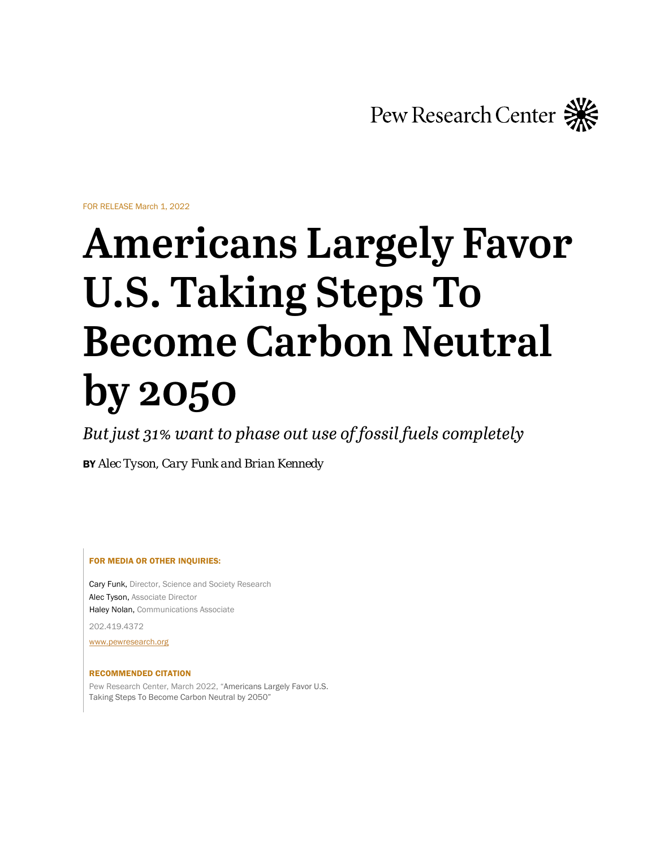

FOR RELEASE March 1, 2022

# **Americans Largely Favor U.S. Taking Steps To Become Carbon Neutral by 2050**

*But just 31% want to phase out use of fossil fuels completely*

BY *Alec Tyson*, *Cary Funk and Brian Kennedy*

FOR MEDIA OR OTHER INQUIRIES:

Cary Funk, Director, Science and Society Research Alec Tyson, Associate Director Haley Nolan, Communications Associate

202.419.4372

[www.pewresearch.org](http://www.pewresearch.org/)

#### RECOMMENDED CITATION

Pew Research Center, March 2022, "Americans Largely Favor U.S. Taking Steps To Become Carbon Neutral by 2050"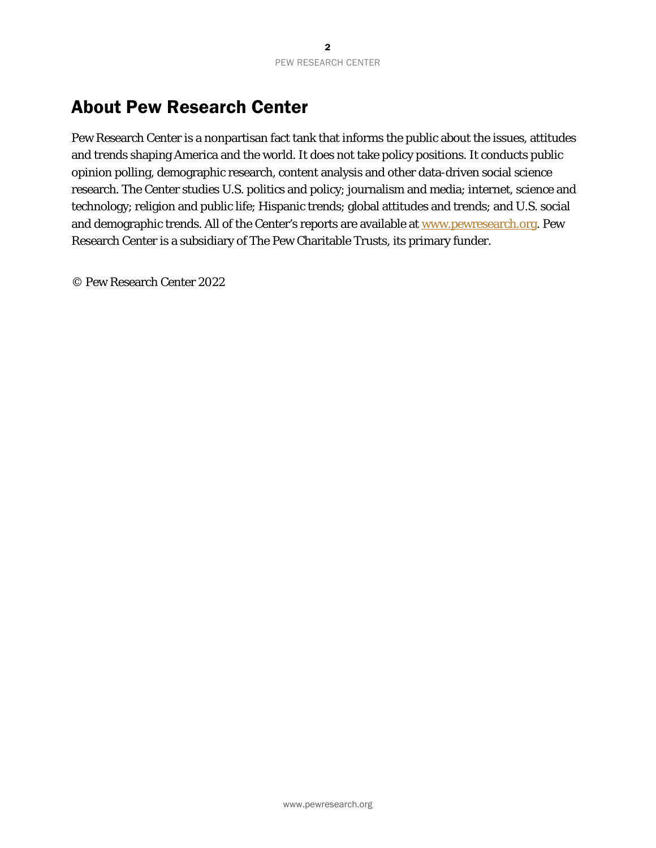# About Pew Research Center

Pew Research Center is a nonpartisan fact tank that informs the public about the issues, attitudes and trends shaping America and the world. It does not take policy positions. It conducts public opinion polling, demographic research, content analysis and other data-driven social science research. The Center studies U.S. politics and policy; journalism and media; internet, science and technology; religion and public life; Hispanic trends; global attitudes and trends; and U.S. social and demographic trends. All of the Center's reports are available at [www.pewresearch.org.](http://www.pewresearch.org/) Pew Research Center is a subsidiary of The Pew Charitable Trusts, its primary funder.

© Pew Research Center 2022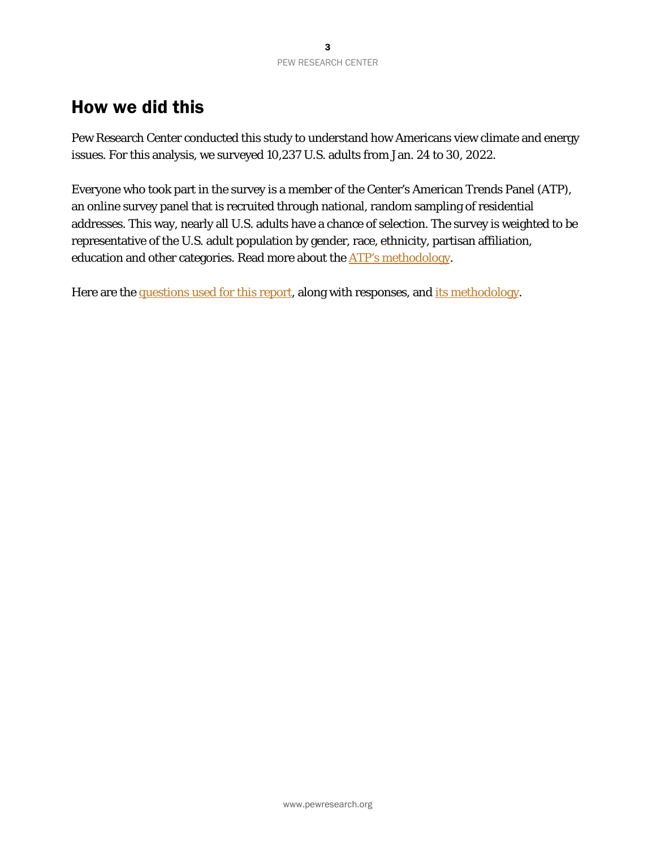# How we did this

Pew Research Center conducted this study to understand how Americans view climate and energy issues. For this analysis, we surveyed 10,237 U.S. adults from Jan. 24 to 30, 2022.

Everyone who took part in the survey is a member of the Center's American Trends Panel (ATP), an online survey panel that is recruited through national, random sampling of residential addresses. This way, nearly all U.S. adults have a chance of selection. The survey is weighted to be representative of the U.S. adult population by gender, race, ethnicity, partisan affiliation, education and other categories. Read more about the **ATP's methodology**.

Here are th[e questions used for this report,](#page-38-0) along with responses, and [its methodology.](#page-27-0)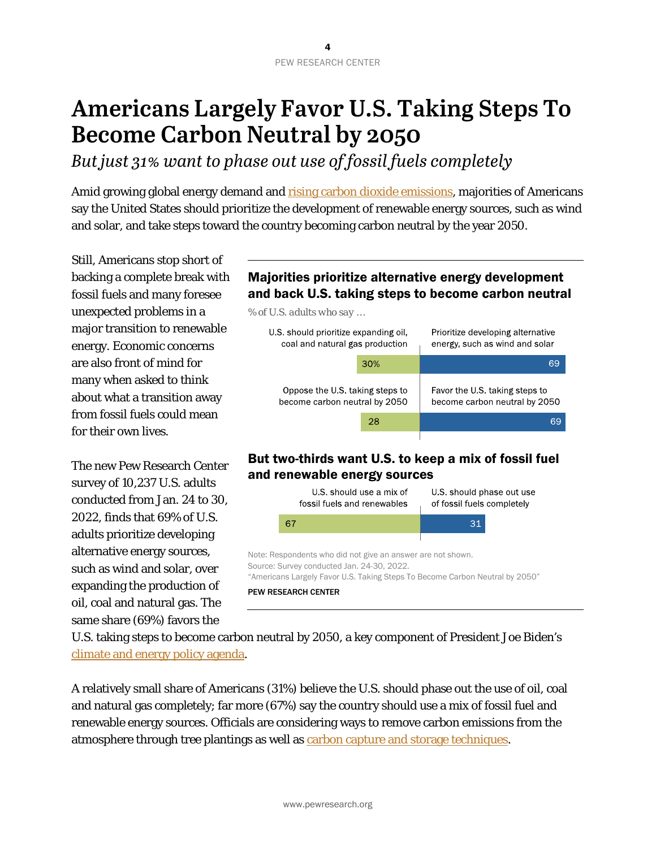# **Americans Largely Favor U.S. Taking Steps To Become Carbon Neutral by 2050**

*But just 31% want to phase out use of fossil fuels completely*

Amid growing global energy demand and **rising carbon dioxide emissions**, majorities of Americans say the United States should prioritize the development of renewable energy sources, such as wind and solar, and take steps toward the country becoming carbon neutral by the year 2050.

Still, Americans stop short of backing a complete break with fossil fuels and many foresee unexpected problems in a major transition to renewable energy. Economic concerns are also front of mind for many when asked to think about what a transition away from fossil fuels could mean for their own lives.

The new Pew Research Center survey of 10,237 U.S. adults conducted from Jan. 24 to 30, 2022, finds that 69% of U.S. adults prioritize developing alternative energy sources, such as wind and solar, over expanding the production of oil, coal and natural gas. The same share (69%) favors the

# Majorities prioritize alternative energy development and back U.S. taking steps to become carbon neutral

*% of U.S. adults who say …*



# But two-thirds want U.S. to keep a mix of fossil fuel and renewable energy sources



U.S. taking steps to become carbon neutral by 2050, a key component of President Joe Biden's [climate and energy policy agenda.](https://www.cnbc.com/2021/04/22/biden-pledges-to-slash-greenhouse-gas-emissions-in-half-by-2030.html)

A relatively small share of Americans (31%) believe the U.S. should phase out the use of oil, coal and natural gas completely; far more (67%) say the country should use a mix of fossil fuel and renewable energy sources. Officials are considering ways to remove carbon emissions from the atmosphere through tree plantings as well as [carbon capture and storage techniques.](https://www.reuters.com/business/environment/biden-administration-sees-carbon-capture-key-tool-climate-fight-2022-02-07/)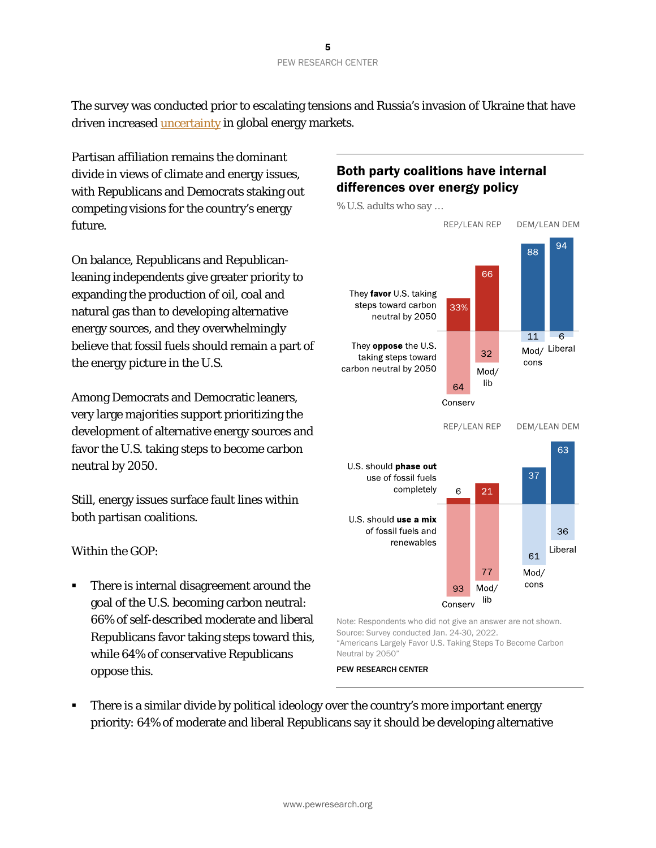The survey was conducted prior to escalating tensions and Russia's invasion of Ukraine that have driven increased *uncertainty* in global energy markets.

Partisan affiliation remains the dominant divide in views of climate and energy issues, with Republicans and Democrats staking out competing visions for the country's energy future.

On balance, Republicans and Republicanleaning independents give greater priority to expanding the production of oil, coal and natural gas than to developing alternative energy sources, and they overwhelmingly believe that fossil fuels should remain a part of the energy picture in the U.S.

Among Democrats and Democratic leaners, very large majorities support prioritizing the development of alternative energy sources and favor the U.S. taking steps to become carbon neutral by 2050.

Still, energy issues surface fault lines within both partisan coalitions.

Within the GOP:

 There is internal disagreement around the goal of the U.S. becoming carbon neutral: 66% of self-described moderate and liberal Republicans favor taking steps toward this, while 64% of conservative Republicans oppose this.

# Both party coalitions have internal differences over energy policy



Note: Respondents who did not give an answer are not shown. Source: Survey conducted Jan. 24-30, 2022. "Americans Largely Favor U.S. Taking Steps To Become Carbon Neutral by 2050"

PEW RESEARCH CENTER

• There is a similar divide by political ideology over the country's more important energy priority: 64% of moderate and liberal Republicans say it should be developing alternative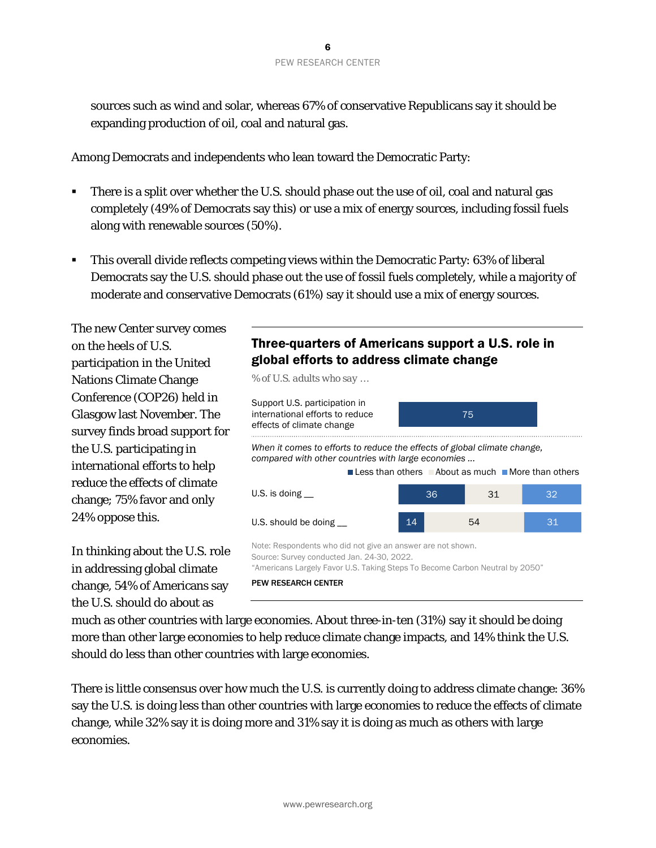sources such as wind and solar, whereas 67% of conservative Republicans say it should be expanding production of oil, coal and natural gas.

Among Democrats and independents who lean toward the Democratic Party:

- There is a split over whether the U.S. should phase out the use of oil, coal and natural gas completely (49% of Democrats say this) or use a mix of energy sources, including fossil fuels along with renewable sources (50%).
- This overall divide reflects competing views within the Democratic Party: 63% of liberal Democrats say the U.S. should phase out the use of fossil fuels completely, while a majority of moderate and conservative Democrats (61%) say it should use a mix of energy sources.

The new Center survey comes on the heels of U.S. participation in the United Nations Climate Change Conference (COP26) held in Glasgow last November. The survey finds broad support for the U.S. participating in international efforts to help reduce the effects of climate change; 75% favor and only 24% oppose this.

In thinking about the U.S. role in addressing global climate change, 54% of Americans say the U.S. should do about as

# Three-quarters of Americans support a U.S. role in global efforts to address climate change

*% of U.S. adults who say …*



much as other countries with large economies. About three-in-ten (31%) say it should be doing more than other large economies to help reduce climate change impacts, and 14% think the U.S. should do less than other countries with large economies.

There is little consensus over how much the U.S. is currently doing to address climate change: 36% say the U.S. is doing less than other countries with large economies to reduce the effects of climate change, while 32% say it is doing more and 31% say it is doing as much as others with large economies.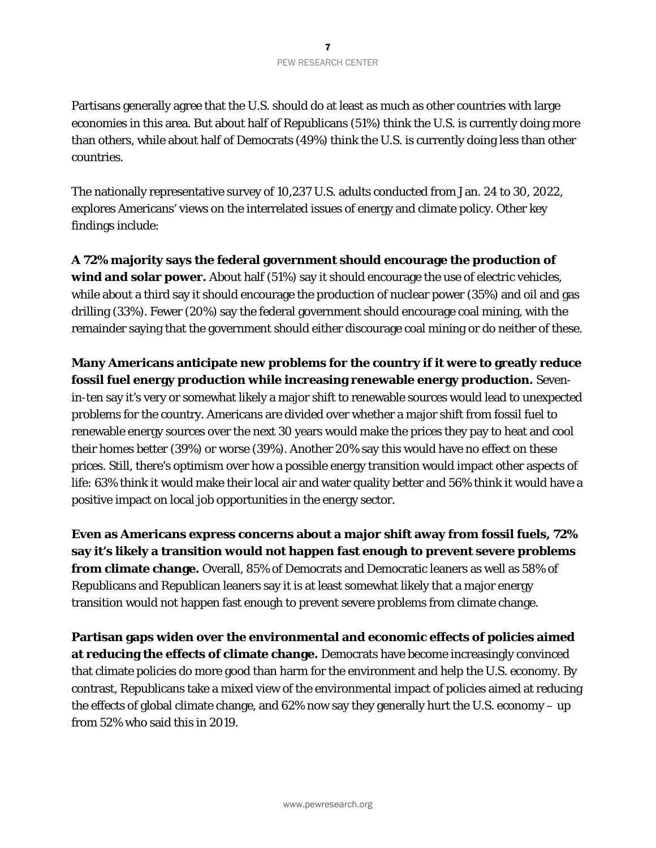Partisans generally agree that the U.S. should do at least as much as other countries with large economies in this area. But about half of Republicans (51%) think the U.S. is currently doing *more* than others, while about half of Democrats (49%) think the U.S. is currently doing *less* than other countries.

The nationally representative survey of 10,237 U.S. adults conducted from Jan. 24 to 30, 2022, explores Americans' views on the interrelated issues of energy and climate policy. Other key findings include:

**A 72% majority says the federal government should encourage the production of**  wind and solar power. About half (51%) say it should encourage the use of electric vehicles, while about a third say it should encourage the production of nuclear power (35%) and oil and gas drilling (33%). Fewer (20%) say the federal government should encourage coal mining, with the remainder saying that the government should either discourage coal mining or do neither of these.

# **Many Americans anticipate new problems for the country if it were to greatly reduce fossil fuel energy production while increasing renewable energy production.** Sevenin-ten say it's very or somewhat likely a major shift to renewable sources would lead to unexpected problems for the country. Americans are divided over whether a major shift from fossil fuel to renewable energy sources over the next 30 years would make the prices they pay to heat and cool their homes better (39%) or worse (39%). Another 20% say this would have no effect on these prices. Still, there's optimism over how a possible energy transition would impact other aspects of life: 63% think it would make their local air and water quality better and 56% think it would have a positive impact on local job opportunities in the energy sector.

**Even as Americans express concerns about a major shift away from fossil fuels, 72% say it's likely a transition would not happen fast enough to prevent severe problems from climate change.** Overall, 85% of Democrats and Democratic leaners as well as 58% of Republicans and Republican leaners say it is at least somewhat likely that a major energy transition would not happen fast enough to prevent severe problems from climate change.

**Partisan gaps widen over the environmental and economic effects of policies aimed at reducing the effects of climate change.** Democrats have become increasingly convinced that climate policies do more good than harm for the environment and help the U.S. economy. By contrast, Republicans take a mixed view of the environmental impact of policies aimed at reducing the effects of global climate change, and 62% now say they generally hurt the U.S. economy – up from 52% who said this in 2019.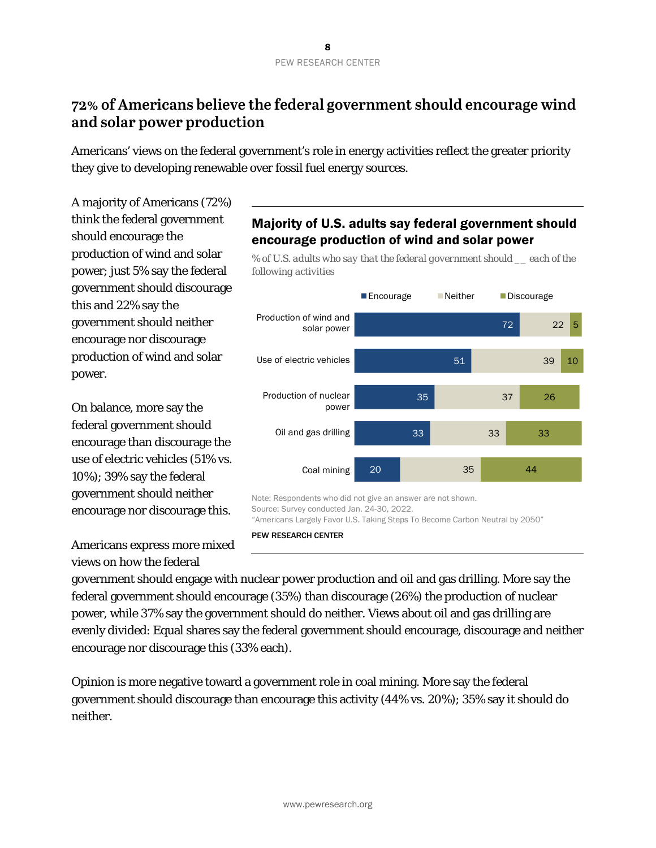# **72% of Americans believe the federal government should encourage wind and solar power production**

Americans' views on the federal government's role in energy activities reflect the greater priority they give to developing renewable over fossil fuel energy sources.

*following activities* 

A majority of Americans (72%) think the federal government should encourage the production of wind and solar power; just 5% say the federal government should discourage this and 22% say the government should neither encourage nor discourage production of wind and solar power.

On balance, more say the federal government should encourage than discourage the use of electric vehicles (51% vs. 10%); 39% say the federal government should neither encourage nor discourage this.

Americans express more mixed views on how the federal

# Majority of U.S. adults say federal government should encourage production of wind and solar power

*% of U.S. adults who say that the federal government should \_\_ each of the* 



PEW RESEARCH CENTER

government should engage with nuclear power production and oil and gas drilling. More say the federal government should encourage (35%) than discourage (26%) the production of nuclear power, while 37% say the government should do neither. Views about oil and gas drilling are evenly divided: Equal shares say the federal government should encourage, discourage and neither encourage nor discourage this (33% each).

Opinion is more negative toward a government role in coal mining. More say the federal government should discourage than encourage this activity (44% vs. 20%); 35% say it should do neither.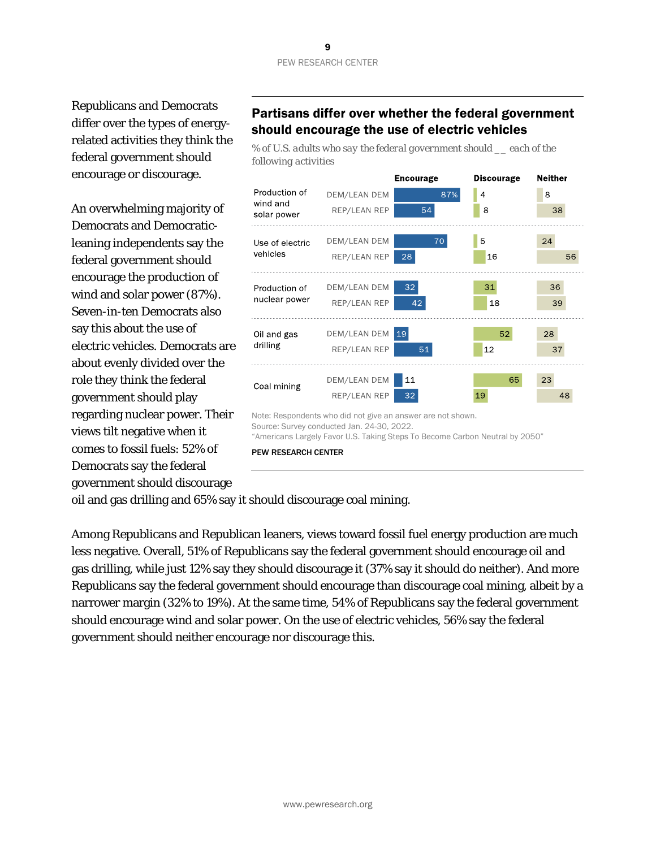Republicans and Democrats differ over the types of energyrelated activities they think the federal government should encourage or discourage.

An overwhelming majority of Democrats and Democraticleaning independents say the federal government should encourage the production of wind and solar power (87%). Seven-in-ten Democrats also say this about the use of electric vehicles. Democrats are about evenly divided over the role they think the federal government should play regarding nuclear power. Their views tilt negative when it comes to fossil fuels: 52% of Democrats say the federal government should discourage

# Partisans differ over whether the federal government should encourage the use of electric vehicles

*% of U.S. adults who say the federal government should \_\_ each of the following activities*



PEW RESEARCH CENTER

oil and gas drilling and 65% say it should discourage coal mining.

Among Republicans and Republican leaners, views toward fossil fuel energy production are much less negative. Overall, 51% of Republicans say the federal government should encourage oil and gas drilling, while just 12% say they should discourage it (37% say it should do neither). And more Republicans say the federal government should encourage than discourage coal mining, albeit by a narrower margin (32% to 19%). At the same time, 54% of Republicans say the federal government should encourage wind and solar power. On the use of electric vehicles, 56% say the federal government should neither encourage nor discourage this.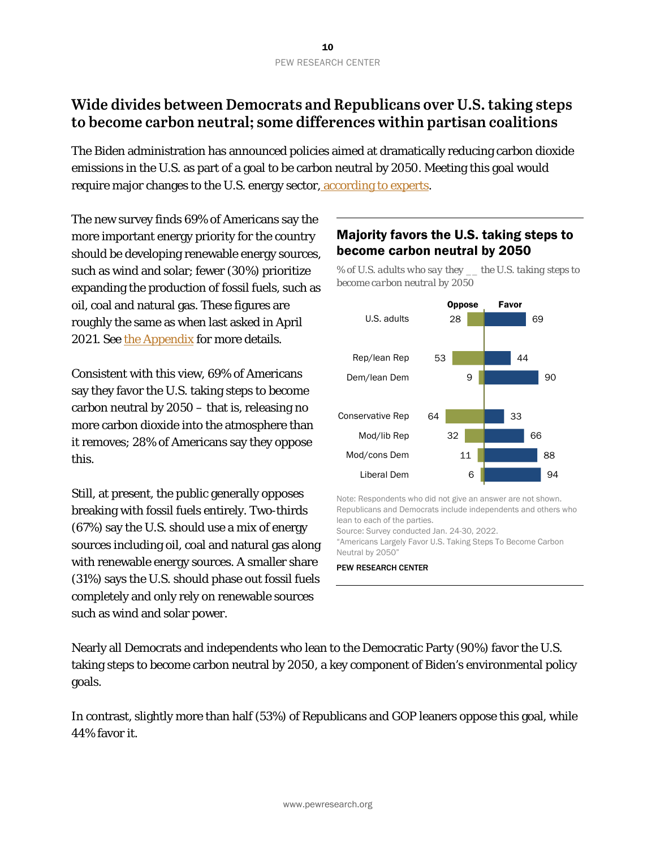# **Wide divides between Democrats and Republicans over U.S. taking steps to become carbon neutral; some differences within partisan coalitions**

The Biden administration has announced policies aimed at dramatically reducing carbon dioxide emissions in the U.S. as part of a goal to be carbon neutral by 2050. Meeting this goal would require major changes to the U.S. energy sector, [according to experts.](https://www.nytimes.com/2020/12/15/climate/america-next-decade-climate.html)

The new survey finds 69% of Americans say the more important energy priority for the country should be developing renewable energy sources, such as wind and solar; fewer (30%) prioritize expanding the production of fossil fuels, such as oil, coal and natural gas. These figures are roughly the same as when last asked in April 2021. See [the Appendix](#page-33-0) for more details.

Consistent with this view, 69% of Americans say they favor the U.S. taking steps to become carbon neutral by 2050 – that is, releasing no more carbon dioxide into the atmosphere than it removes; 28% of Americans say they oppose this.

Still, at present, the public generally opposes breaking with fossil fuels entirely. Two-thirds (67%) say the U.S. should use a mix of energy sources including oil, coal and natural gas along with renewable energy sources. A smaller share (31%) says the U.S. should phase out fossil fuels completely and only rely on renewable sources such as wind and solar power.

# Majority favors the U.S. taking steps to become carbon neutral by 2050

*% of U.S. adults who say they \_\_ the U.S. taking steps to become carbon neutral by 2050*



Note: Respondents who did not give an answer are not shown. Republicans and Democrats include independents and others who lean to each of the parties.

Source: Survey conducted Jan. 24-30, 2022.

"Americans Largely Favor U.S. Taking Steps To Become Carbon Neutral by 2050"

#### PEW RESEARCH CENTER

Nearly all Democrats and independents who lean to the Democratic Party (90%) favor the U.S. taking steps to become carbon neutral by 2050, a key component of Biden's environmental policy goals.

In contrast, slightly more than half (53%) of Republicans and GOP leaners oppose this goal, while 44% favor it.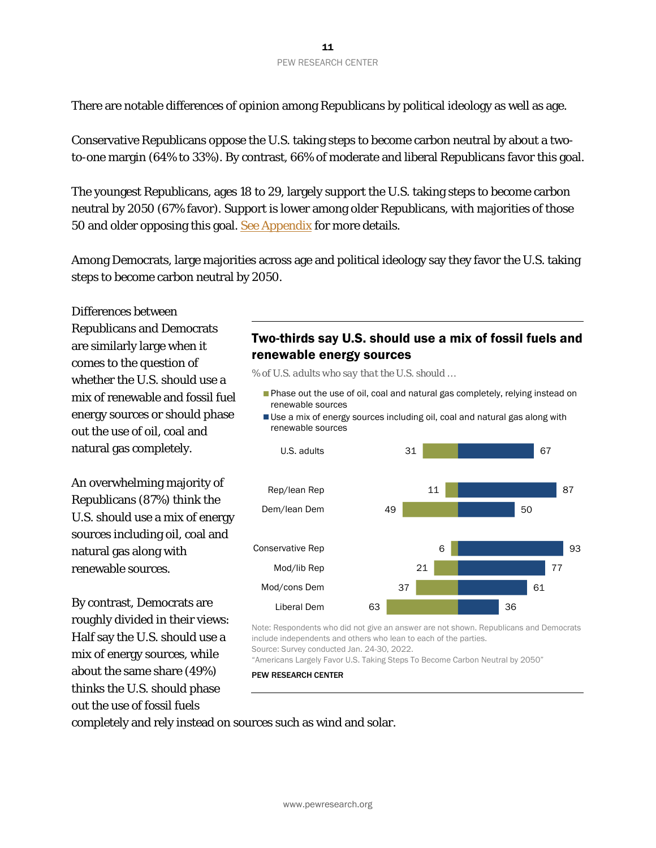There are notable differences of opinion among Republicans by political ideology as well as age.

Conservative Republicans oppose the U.S. taking steps to become carbon neutral by about a twoto-one margin (64% to 33%). By contrast, 66% of moderate and liberal Republicans favor this goal.

The youngest Republicans, ages 18 to 29, largely support the U.S. taking steps to become carbon neutral by 2050 (67% favor). Support is lower among older Republicans, with majorities of those 50 and older opposing this goal. [See Appendix](#page-33-0) for more details.

Among Democrats, large majorities across age and political ideology say they favor the U.S. taking steps to become carbon neutral by 2050.

Differences between Republicans and Democrats are similarly large when it comes to the question of whether the U.S. should use a mix of renewable and fossil fuel energy sources or should phase out the use of oil, coal and natural gas completely.

An overwhelming majority of Republicans (87%) think the U.S. should use a mix of energy sources including oil, coal and natural gas along with renewable sources.

By contrast, Democrats are roughly divided in their views: Half say the U.S. should use a mix of energy sources, while about the same share (49%) thinks the U.S. should phase out the use of fossil fuels

# Two-thirds say U.S. should use a mix of fossil fuels and renewable energy sources

*% of U.S. adults who say that the U.S. should …*

- **Phase out the use of oil, coal and natural gas completely, relying instead on** renewable sources
- Use a mix of energy sources including oil, coal and natural gas along with renewable sources



Note: Respondents who did not give an answer are not shown. Republicans and Democrats include independents and others who lean to each of the parties. Source: Survey conducted Jan. 24-30, 2022.

"Americans Largely Favor U.S. Taking Steps To Become Carbon Neutral by 2050"

PEW RESEARCH CENTER

completely and rely instead on sources such as wind and solar.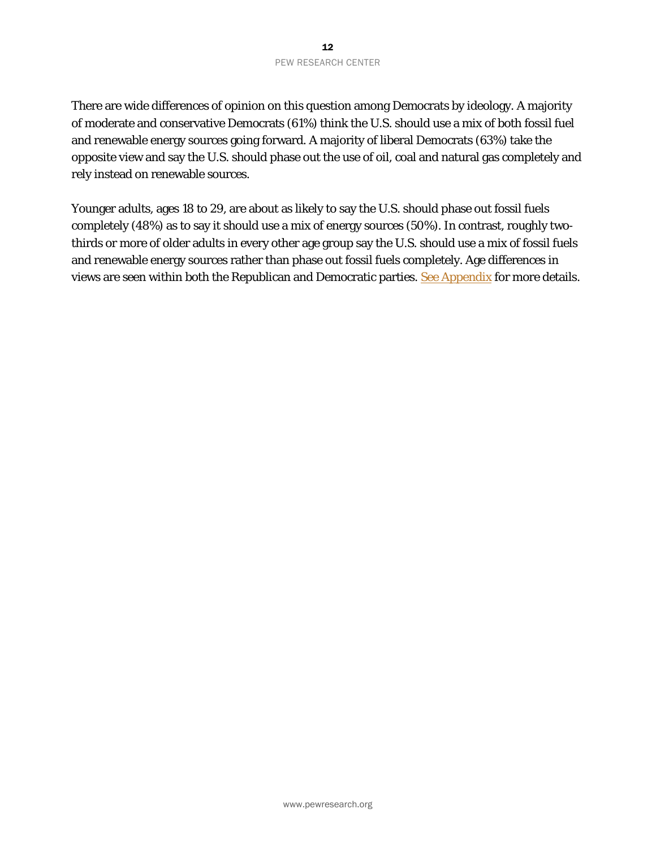There are wide differences of opinion on this question among Democrats by ideology. A majority of moderate and conservative Democrats (61%) think the U.S. should use a mix of both fossil fuel and renewable energy sources going forward. A majority of liberal Democrats (63%) take the opposite view and say the U.S. should phase out the use of oil, coal and natural gas completely and rely instead on renewable sources.

Younger adults, ages 18 to 29, are about as likely to say the U.S. should phase out fossil fuels completely (48%) as to say it should use a mix of energy sources (50%). In contrast, roughly twothirds or more of older adults in every other age group say the U.S. should use a mix of fossil fuels and renewable energy sources rather than phase out fossil fuels completely. Age differences in views are seen within both the Republican and Democratic parties. [See Appendix](#page-38-0) for more details.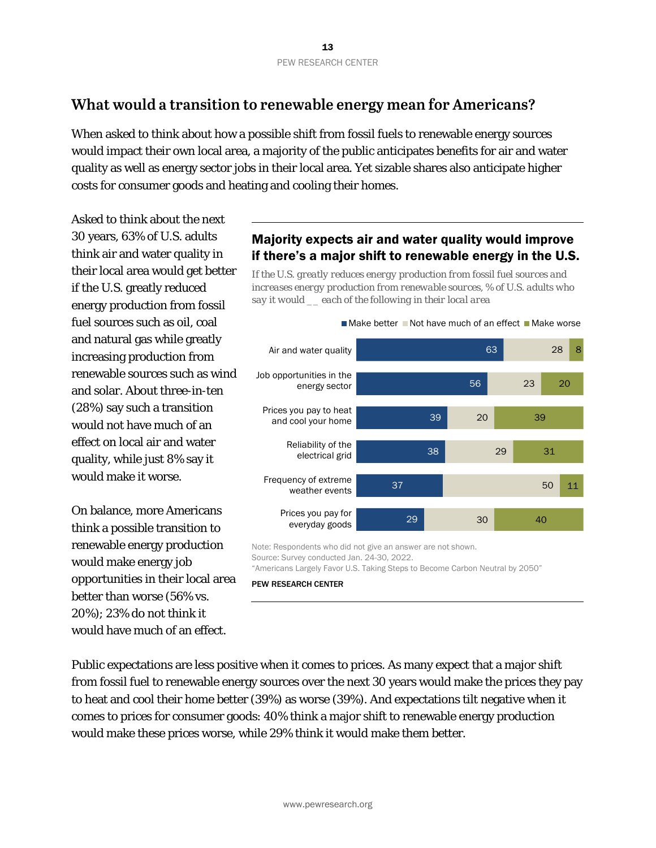# **What would a transition to renewable energy mean for Americans?**

When asked to think about how a possible shift from fossil fuels to renewable energy sources would impact their own local area, a majority of the public anticipates benefits for air and water quality as well as energy sector jobs in their local area. Yet sizable shares also anticipate higher costs for consumer goods and heating and cooling their homes.

Asked to think about the next 30 years, 63% of U.S. adults think air and water quality in their local area would get better if the U.S. greatly reduced energy production from fossil fuel sources such as oil, coal and natural gas while greatly increasing production from renewable sources such as wind and solar. About three-in-ten (28%) say such a transition would not have much of an effect on local air and water quality, while just 8% say it would make it worse.

On balance, more Americans think a possible transition to renewable energy production would make energy job opportunities in their local area better than worse (56% vs. 20%); 23% do not think it would have much of an effect.

# Majority expects air and water quality would improve if there's a major shift to renewable energy in the U.S.

*If the U.S. greatly reduces energy production from fossil fuel sources and increases energy production from renewable sources, % of U.S. adults who say it would \_\_ each of the following in their local area*



Note: Respondents who did not give an answer are not shown. Source: Survey conducted Jan. 24-30, 2022. "Americans Largely Favor U.S. Taking Steps to Become Carbon Neutral by 2050"

#### PEW RESEARCH CENTER

Public expectations are less positive when it comes to prices. As many expect that a major shift from fossil fuel to renewable energy sources over the next 30 years would make the prices they pay to heat and cool their home better (39%) as worse (39%). And expectations tilt negative when it comes to prices for consumer goods: 40% think a major shift to renewable energy production would make these prices worse, while 29% think it would make them better.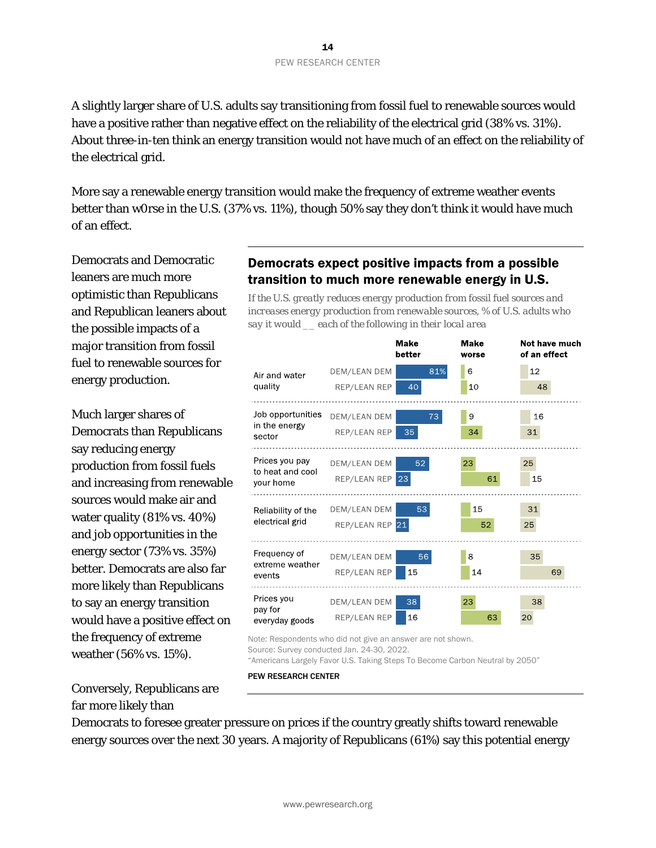A slightly larger share of U.S. adults say transitioning from fossil fuel to renewable sources would have a positive rather than negative effect on the reliability of the electrical grid (38% vs. 31%). About three-in-ten think an energy transition would not have much of an effect on the reliability of the electrical grid.

More say a renewable energy transition would make the frequency of extreme weather events better than w0rse in the U.S. (37% vs. 11%), though 50% say they don't think it would have much of an effect.

Democrats and Democratic leaners are much more optimistic than Republicans and Republican leaners about the possible impacts of a major transition from fossil fuel to renewable sources for energy production.

Much larger shares of Democrats than Republicans say reducing energy production from fossil fuels and increasing from renewable sources would make air and water quality (81% vs. 40%) and job opportunities in the energy sector (73% vs. 35%) better. Democrats are also far more likely than Republicans to say an energy transition would have a positive effect on the frequency of extreme weather (56% vs. 15%).

# Democrats expect positive impacts from a possible transition to much more renewable energy in U.S.

*If the U.S. greatly reduces energy production from fossil fuel sources and increases energy production from renewable sources, % of U.S. adults who say it would \_\_ each of the following in their local area*



Note: Respondents who did not give an answer are not shown.

Source: Survey conducted Jan. 24-30, 2022.

"Americans Largely Favor U.S. Taking Steps To Become Carbon Neutral by 2050"

PEW RESEARCH CENTER

Conversely, Republicans are far more likely than

Democrats to foresee greater pressure on prices if the country greatly shifts toward renewable energy sources over the next 30 years. A majority of Republicans (61%) say this potential energy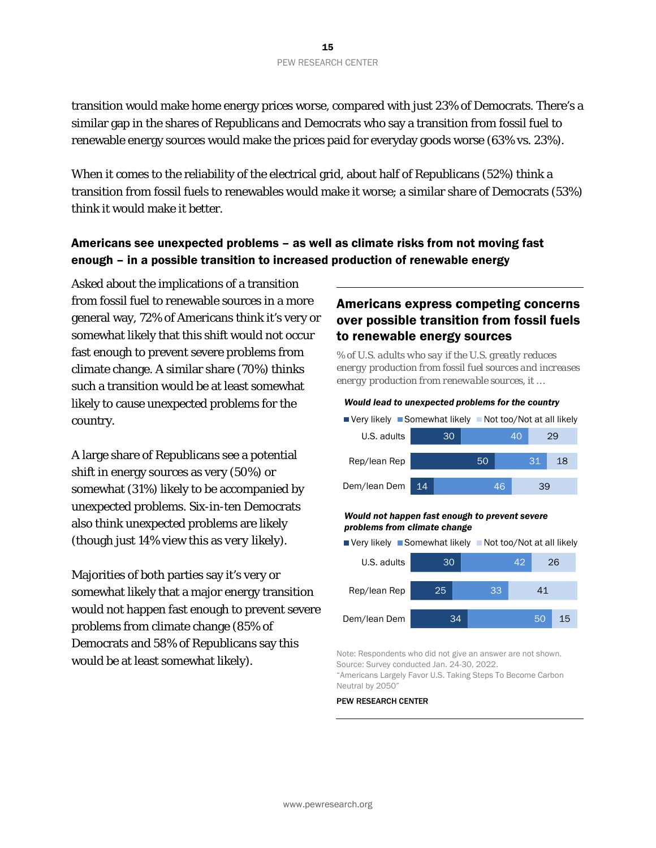transition would make home energy prices worse, compared with just 23% of Democrats. There's a similar gap in the shares of Republicans and Democrats who say a transition from fossil fuel to renewable energy sources would make the prices paid for everyday goods worse (63% vs. 23%).

When it comes to the reliability of the electrical grid, about half of Republicans (52%) think a transition from fossil fuels to renewables would make it worse; a similar share of Democrats (53%) think it would make it better.

# Americans see unexpected problems – as well as climate risks from not moving fast enough – in a possible transition to increased production of renewable energy

Asked about the implications of a transition from fossil fuel to renewable sources in a more general way, 72% of Americans think it's very or somewhat likely that this shift would not occur fast enough to prevent severe problems from climate change. A similar share (70%) thinks such a transition would be at least somewhat likely to cause unexpected problems for the country.

A large share of Republicans see a potential shift in energy sources as very (50%) or somewhat (31%) likely to be accompanied by unexpected problems. Six-in-ten Democrats also think unexpected problems are likely (though just 14% view this as *very* likely).

Majorities of both parties say it's very or somewhat likely that a major energy transition would not happen fast enough to prevent severe problems from climate change (85% of Democrats and 58% of Republicans say this would be at least somewhat likely).

# Americans express competing concerns over possible transition from fossil fuels to renewable energy sources

*% of U.S. adults who say if the U.S. greatly reduces energy production from fossil fuel sources and increases energy production from renewable sources, it …*

#### *Would lead to unexpected problems for the country*

| $\blacksquare$ Very likely $\blacksquare$ Somewhat likely $\blacksquare$ Not too/Not at all likely |  |    |    |    |    |    |    |
|----------------------------------------------------------------------------------------------------|--|----|----|----|----|----|----|
| U.S. adults                                                                                        |  | 30 |    |    | 40 |    | 29 |
| Rep/lean Rep                                                                                       |  |    | 50 |    |    | 31 | 18 |
| Dem/lean Dem 14                                                                                    |  |    |    | 46 |    | 39 |    |

#### *Would not happen fast enough to prevent severe problems from climate change*

■ Very likely ■ Somewhat likely ■ Not too/Not at all likely



Note: Respondents who did not give an answer are not shown. Source: Survey conducted Jan. 24-30, 2022. "Americans Largely Favor U.S. Taking Steps To Become Carbon Neutral by 2050"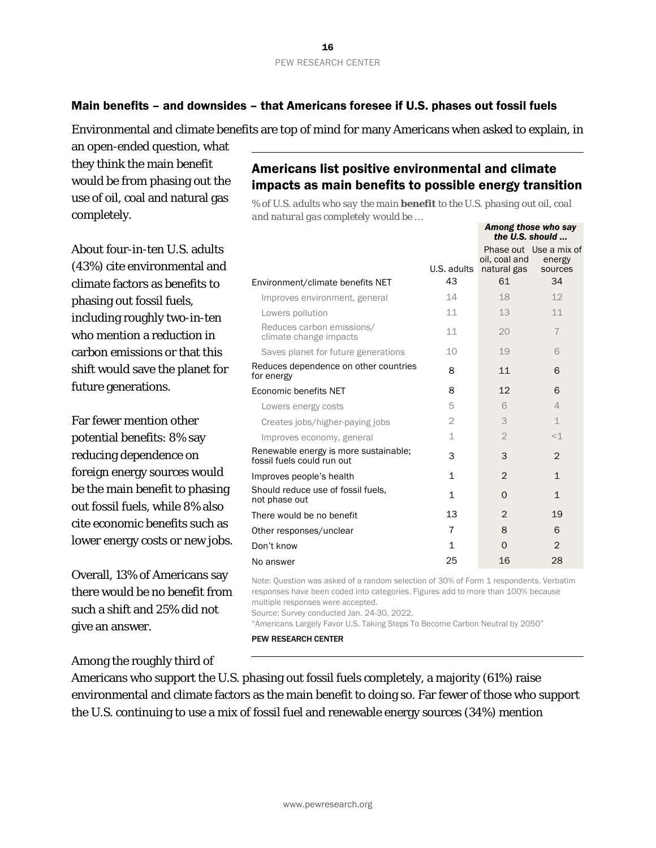### Main benefits – and downsides – that Americans foresee if U.S. phases out fossil fuels

Environmental and climate benefits are top of mind for many Americans when asked to explain, in

an open-ended question, what they think the main benefit would be from phasing out the use of oil, coal and natural gas completely.

About four-in-ten U.S. adults (43%) cite environmental and climate factors as benefits to phasing out fossil fuels, including roughly two-in-ten who mention a reduction in carbon emissions or that this shift would save the planet for future generations.

Far fewer mention other potential benefits: 8% say reducing dependence on foreign energy sources would be the main benefit to phasing out fossil fuels, while 8% also cite economic benefits such as lower energy costs or new jobs.

Overall, 13% of Americans say there would be no benefit from such a shift and 25% did not give an answer.

Among the roughly third of

Americans list positive environmental and climate impacts as main benefits to possible energy transition

*% of U.S. adults who say the main benefit to the U.S. phasing out oil, coal and natural gas completely would be …*

*Among those who say* 

|                                                                     |              | the U.S. should              |                                             |
|---------------------------------------------------------------------|--------------|------------------------------|---------------------------------------------|
|                                                                     | U.S. adults  | oil, coal and<br>natural gas | Phase out Use a mix of<br>energy<br>sources |
| Environment/climate benefits NET                                    | 43           | 61                           | 34                                          |
| Improves environment, general                                       | 14           | 18                           | 12                                          |
| Lowers pollution                                                    | 11           | 13                           | 11                                          |
| Reduces carbon emissions/<br>climate change impacts                 | 11           | 20                           | $\overline{7}$                              |
| Saves planet for future generations                                 | 10           | 19                           | 6                                           |
| Reduces dependence on other countries<br>for energy                 | 8            | 11                           | 6                                           |
| Economic benefits NET                                               | 8            | 12                           | 6                                           |
| Lowers energy costs                                                 | 5            | 6                            | $\overline{4}$                              |
| Creates jobs/higher-paying jobs                                     | $\mathbf{2}$ | 3                            | $\mathbf 1$                                 |
| Improves economy, general                                           | $\mathbf 1$  | $\overline{2}$               | $<\!\!\!\!\perp$                            |
| Renewable energy is more sustainable;<br>fossil fuels could run out | 3            | 3                            | $\mathfrak{D}$                              |
| Improves people's health                                            | 1            | $\overline{2}$               | $\mathbf{1}$                                |
| Should reduce use of fossil fuels,<br>not phase out                 | $\mathbf{1}$ | $\Omega$                     | $\mathbf{1}$                                |
| There would be no benefit                                           | 13           | $\overline{2}$               | 19                                          |
| Other responses/unclear                                             | 7            | 8                            | 6                                           |
| Don't know                                                          | $\mathbf 1$  | $\Omega$                     | $\overline{2}$                              |
| No answer                                                           | 25           | 16                           | 28                                          |

Note: Question was asked of a random selection of 30% of Form 1 respondents. Verbatim responses have been coded into categories. Figures add to more than 100% because multiple responses were accepted.

Source: Survey conducted Jan. 24-30, 2022.

"Americans Largely Favor U.S. Taking Steps To Become Carbon Neutral by 2050"

#### PEW RESEARCH CENTER

Americans who support the U.S. phasing out fossil fuels completely, a majority (61%) raise environmental and climate factors as the main benefit to doing so. Far fewer of those who support the U.S. continuing to use a mix of fossil fuel and renewable energy sources (34%) mention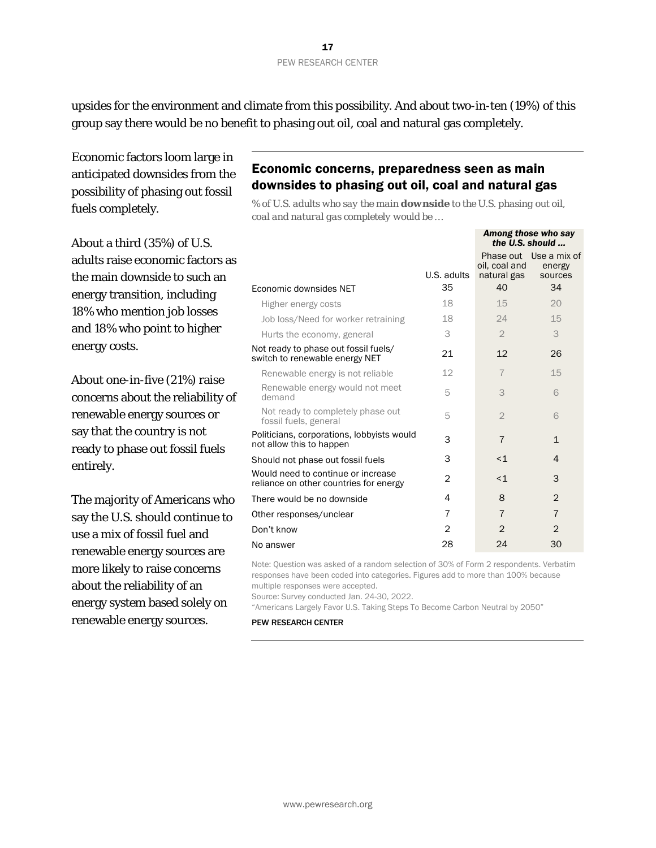upsides for the environment and climate from this possibility. And about two-in-ten (19%) of this group say there would be no benefit to phasing out oil, coal and natural gas completely.

Economic factors loom large in anticipated downsides from the possibility of phasing out fossil fuels completely.

About a third (35%) of U.S. adults raise economic factors as the main downside to such an energy transition, including 18% who mention job losses and 18% who point to higher energy costs.

About one-in-five (21%) raise concerns about the reliability of renewable energy sources or say that the country is not ready to phase out fossil fuels entirely.

The majority of Americans who say the U.S. should continue to use a mix of fossil fuel and renewable energy sources are more likely to raise concerns about the reliability of an energy system based solely on renewable energy sources.

# Economic concerns, preparedness seen as main downsides to phasing out oil, coal and natural gas

*% of U.S. adults who say the main downside to the U.S. phasing out oil, coal and natural gas completely would be …*

*Among those who say* 

|                                                                              |             |                              | the U.S. should                             |
|------------------------------------------------------------------------------|-------------|------------------------------|---------------------------------------------|
|                                                                              | U.S. adults | oil, coal and<br>natural gas | Phase out Use a mix of<br>energy<br>sources |
| Economic downsides NET                                                       | 35          | 40                           | 34                                          |
| Higher energy costs                                                          | 18          | 15                           | 20                                          |
| Job loss/Need for worker retraining                                          | 18          | 24                           | 15                                          |
| Hurts the economy, general                                                   | 3           | $\mathfrak{D}$               | 3                                           |
| Not ready to phase out fossil fuels/<br>switch to renewable energy NET       | 21          | 12                           | 26                                          |
| Renewable energy is not reliable                                             | 12          | $\overline{7}$               | 15                                          |
| Renewable energy would not meet<br>demand                                    | 5           | 3                            | 6                                           |
| Not ready to completely phase out<br>fossil fuels, general                   | 5           | $\overline{2}$               | 6                                           |
| Politicians, corporations, lobbyists would<br>not allow this to happen       | 3           | $\overline{7}$               | $\mathbf{1}$                                |
| Should not phase out fossil fuels                                            | 3           | $<$ $1$                      | 4                                           |
| Would need to continue or increase<br>reliance on other countries for energy | 2           | $\leq$ 1                     | 3                                           |
| There would be no downside                                                   | 4           | 8                            | $\overline{2}$                              |
| Other responses/unclear                                                      | 7           | $\overline{7}$               | $\overline{7}$                              |
| Don't know                                                                   | 2           | 2                            | 2                                           |
| No answer                                                                    | 28          | 24                           | 30                                          |

Note: Question was asked of a random selection of 30% of Form 2 respondents. Verbatim responses have been coded into categories. Figures add to more than 100% because multiple responses were accepted.

Source: Survey conducted Jan. 24-30, 2022.

"Americans Largely Favor U.S. Taking Steps To Become Carbon Neutral by 2050"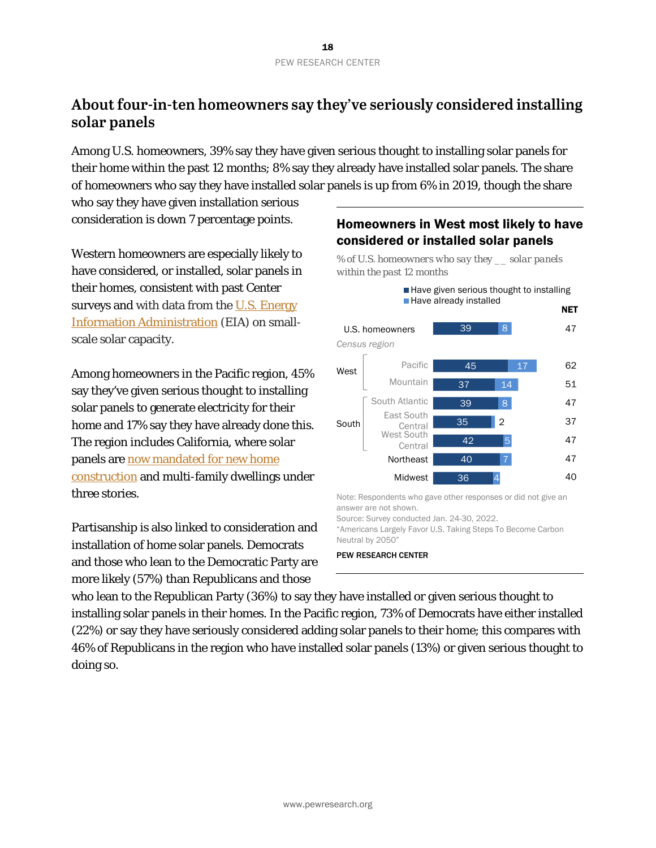# **About four-in-ten homeowners say they've seriously considered installing solar panels**

Among U.S. homeowners, 39% say they have given serious thought to installing solar panels for their home within the past 12 months; 8% say they already have installed solar panels. The share of homeowners who say they have installed solar panels is up from 6% in 2019, though the share

who say they have given installation serious consideration is down 7 percentage points.

Western homeowners are especially likely to have considered, or installed, solar panels in their homes, consistent with past Center surveys and with data from the U.S. Energy [Information Administration](https://www.eia.gov/electricity/monthly/epm_table_grapher.php?t=epmt_1_17_a) (EIA) on smallscale solar capacity.

Among homeowners in the Pacific region, 45% say they've given serious thought to installing solar panels to generate electricity for their home and 17% say they have already done this. The region includes California, where solar panels are [now mandated for new home](https://www.greentechmedia.com/articles/read/will-the-coronavirus-slow-californias-solar-home-requirement)  [construction](https://www.greentechmedia.com/articles/read/will-the-coronavirus-slow-californias-solar-home-requirement) and multi-family dwellings under three stories.

Partisanship is also linked to consideration and installation of home solar panels. Democrats and those who lean to the Democratic Party are more likely (57%) than Republicans and those

# Homeowners in West most likely to have considered or installed solar panels

*% of U.S. homeowners who say they \_\_ solar panels* 



Note: Respondents who gave other responses or did not give an answer are not shown.

Source: Survey conducted Jan. 24-30, 2022. "Americans Largely Favor U.S. Taking Steps To Become Carbon Neutral by 2050"



who lean to the Republican Party (36%) to say they have installed or given serious thought to installing solar panels in their homes. In the Pacific region, 73% of Democrats have either installed (22%) or say they have seriously considered adding solar panels to their home; this compares with 46% of Republicans in the region who have installed solar panels (13%) or given serious thought to doing so.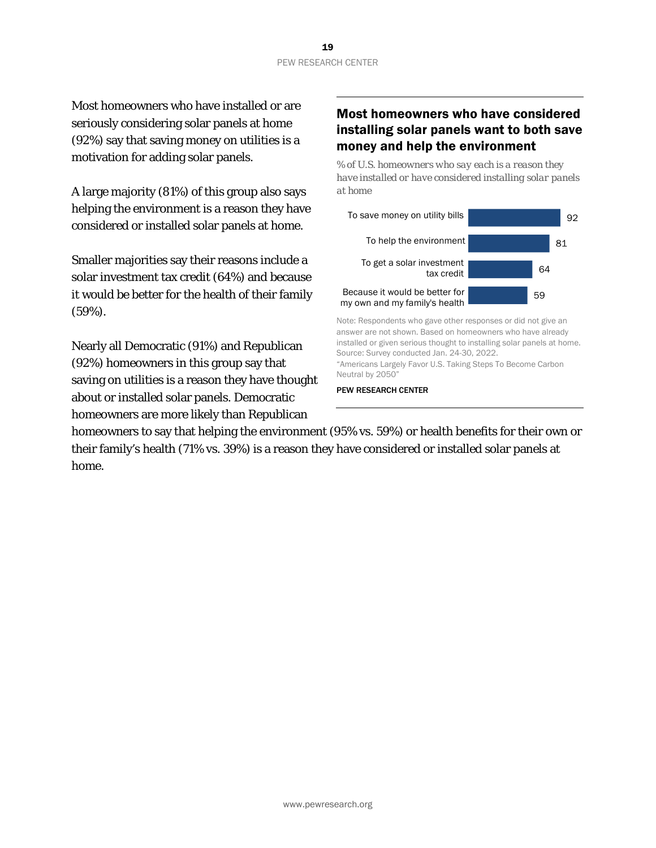Most homeowners who have installed or are seriously considering solar panels at home (92%) say that saving money on utilities is a motivation for adding solar panels.

A large majority (81%) of this group also says helping the environment is a reason they have considered or installed solar panels at home.

Smaller majorities say their reasons include a solar investment tax credit (64%) and because it would be better for the health of their family (59%).

Nearly all Democratic (91%) and Republican (92%) homeowners in this group say that saving on utilities is a reason they have thought about or installed solar panels. Democratic homeowners are more likely than Republican

# Most homeowners who have considered installing solar panels want to both save money and help the environment

*% of U.S. homeowners who say each is a reason they have installed or have considered installing solar panels at home* 



Note: Respondents who gave other responses or did not give an answer are not shown. Based on homeowners who have already installed or given serious thought to installing solar panels at home. Source: Survey conducted Jan. 24-30, 2022. "Americans Largely Favor U.S. Taking Steps To Become Carbon Neutral by 2050"

PEW RESEARCH CENTER

homeowners to say that helping the environment (95% vs. 59%) or health benefits for their own or their family's health (71% vs. 39%) is a reason they have considered or installed solar panels at home.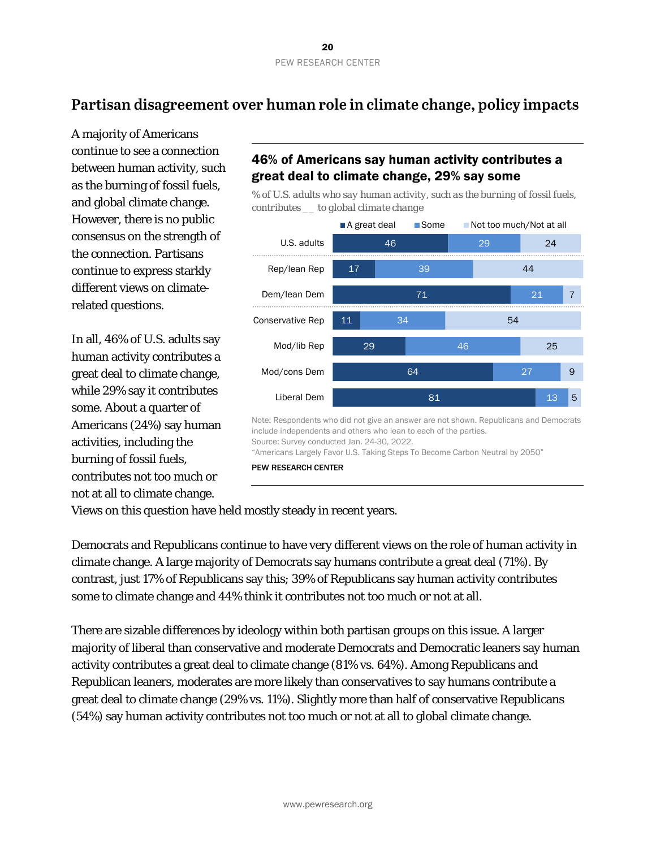# **Partisan disagreement over human role in climate change, policy impacts**

A majority of Americans continue to see a connection between human activity, such as the burning of fossil fuels, and global climate change. However, there is no public consensus on the strength of the connection. Partisans continue to express starkly different views on climaterelated questions.

In all, 46% of U.S. adults say human activity contributes a great deal to climate change, while 29% say it contributes some. About a quarter of Americans (24%) say human activities, including the burning of fossil fuels, contributes not too much or not at all to climate change.

# 46% of Americans say human activity contributes a great deal to climate change, 29% say some

*% of U.S. adults who say human activity, such as the burning of fossil fuels, contributes \_\_ to global climate change*



Note: Respondents who did not give an answer are not shown. Republicans and Democrats include independents and others who lean to each of the parties. Source: Survey conducted Jan. 24-30, 2022.

"Americans Largely Favor U.S. Taking Steps To Become Carbon Neutral by 2050"

PEW RESEARCH CENTER

Views on this question have held mostly steady in recent years.

Democrats and Republicans continue to have very different views on the role of human activity in climate change. A large majority of Democrats say humans contribute a great deal (71%). By contrast, just 17% of Republicans say this; 39% of Republicans say human activity contributes some to climate change and 44% think it contributes not too much or not at all.

There are sizable differences by ideology within both partisan groups on this issue. A larger majority of liberal than conservative and moderate Democrats and Democratic leaners say human activity contributes a great deal to climate change (81% vs. 64%). Among Republicans and Republican leaners, moderates are more likely than conservatives to say humans contribute a great deal to climate change (29% vs. 11%). Slightly more than half of conservative Republicans (54%) say human activity contributes not too much or not at all to global climate change.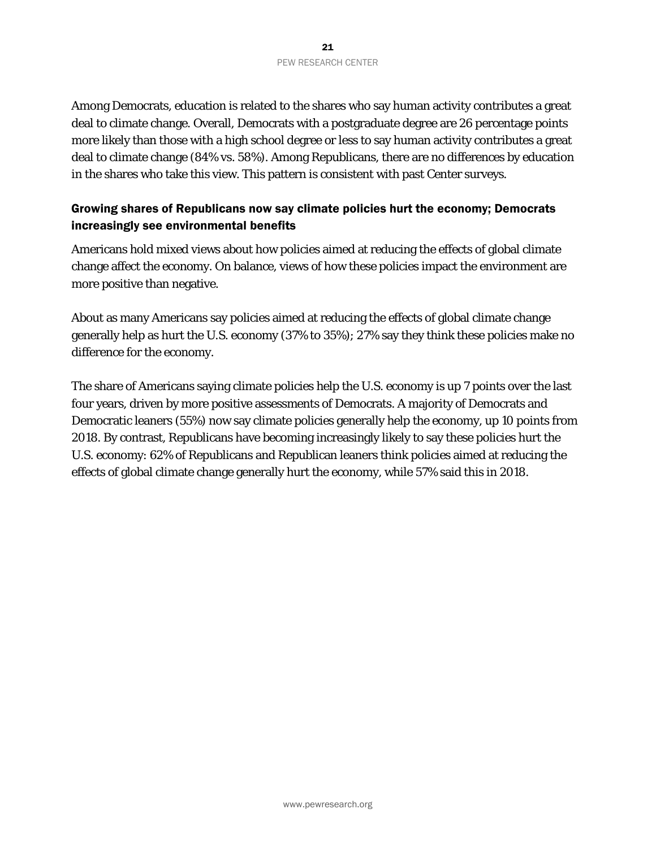Among Democrats, education is related to the shares who say human activity contributes a great deal to climate change. Overall, Democrats with a postgraduate degree are 26 percentage points more likely than those with a high school degree or less to say human activity contributes a great deal to climate change (84% vs. 58%). Among Republicans, there are no differences by education in the shares who take this view. This pattern is consistent with past Center surveys.

### Growing shares of Republicans now say climate policies hurt the economy; Democrats increasingly see environmental benefits

Americans hold mixed views about how policies aimed at reducing the effects of global climate change affect the economy. On balance, views of how these policies impact the environment are more positive than negative.

About as many Americans say policies aimed at reducing the effects of global climate change generally help as hurt the U.S. economy (37% to 35%); 27% say they think these policies make no difference for the economy.

The share of Americans saying climate policies help the U.S. economy is up 7 points over the last four years, driven by more positive assessments of Democrats. A majority of Democrats and Democratic leaners (55%) now say climate policies generally help the economy, up 10 points from 2018. By contrast, Republicans have becoming increasingly likely to say these policies hurt the U.S. economy: 62% of Republicans and Republican leaners think policies aimed at reducing the effects of global climate change generally hurt the economy, while 57% said this in 2018.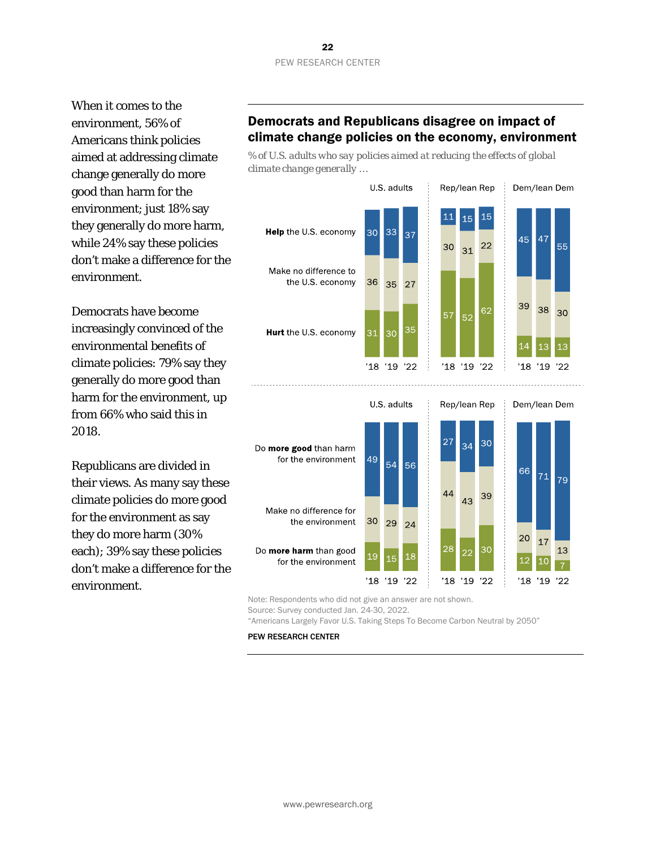When it comes to the environment, 56% of Americans think policies aimed at addressing climate change generally do more good than harm for the environment; just 18% say they generally do more harm, while 24% say these policies don't make a difference for the environment.

Democrats have become increasingly convinced of the environmental benefits of climate policies: 79% say they generally do more good than harm for the environment, up from 66% who said this in 2018.

Republicans are divided in their views. As many say these climate policies do more good for the environment as say they do more harm (30% each); 39% say these policies don't make a difference for the environment.

# Democrats and Republicans disagree on impact of climate change policies on the economy, environment

*% of U.S. adults who say policies aimed at reducing the effects of global climate change generally …*



Note: Respondents who did not give an answer are not shown.

Source: Survey conducted Jan. 24-30, 2022.

"Americans Largely Favor U.S. Taking Steps To Become Carbon Neutral by 2050"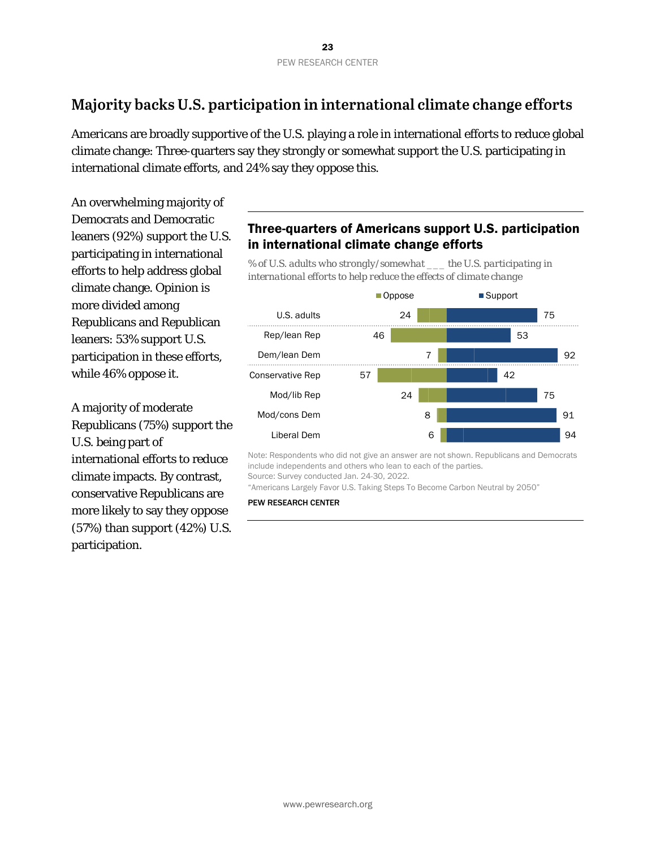# **Majority backs U.S. participation in international climate change efforts**

Americans are broadly supportive of the U.S. playing a role in international efforts to reduce global climate change: Three-quarters say they strongly or somewhat support the U.S. participating in international climate efforts, and 24% say they oppose this.

An overwhelming majority of Democrats and Democratic leaners (92%) support the U.S. participating in international efforts to help address global climate change. Opinion is more divided among Republicans and Republican leaners: 53% support U.S. participation in these efforts, while 46% oppose it.

A majority of moderate Republicans (75%) support the U.S. being part of international efforts to reduce climate impacts. By contrast, conservative Republicans are more likely to say they oppose (57%) than support (42%) U.S. participation.

# Three-quarters of Americans support U.S. participation in international climate change efforts

*% of U.S. adults who strongly/somewhat \_\_\_ the U.S. participating in international efforts to help reduce the effects of climate change*



Note: Respondents who did not give an answer are not shown. Republicans and Democrats include independents and others who lean to each of the parties. Source: Survey conducted Jan. 24-30, 2022.

"Americans Largely Favor U.S. Taking Steps To Become Carbon Neutral by 2050"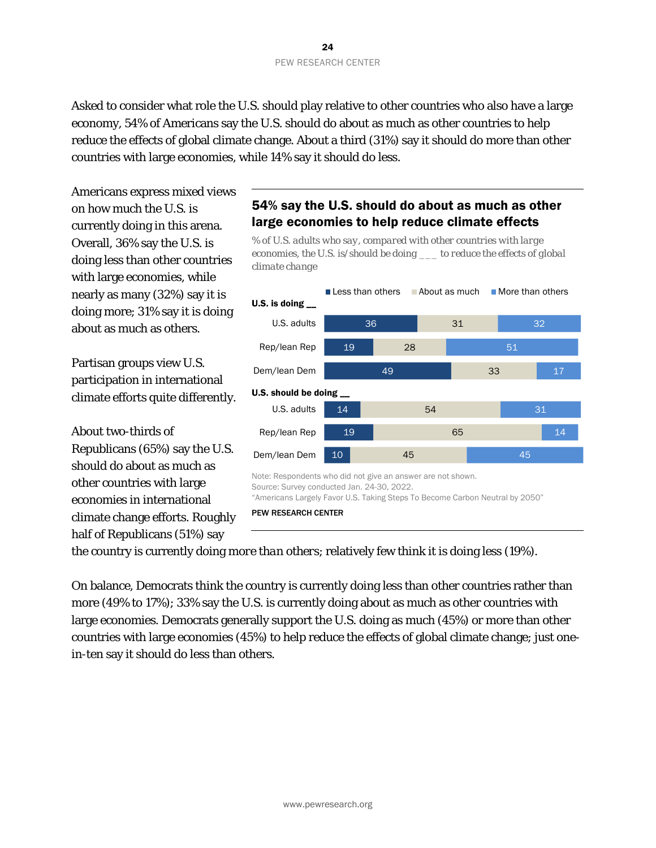Asked to consider what role the U.S. should play relative to other countries who also have a large economy, 54% of Americans say the U.S. should do about as much as other countries to help reduce the effects of global climate change. About a third (31%) say it should do more than other countries with large economies, while 14% say it should do less.

Americans express mixed views on how much the U.S. is currently doing in this arena. Overall, 36% say the U.S. is doing less than other countries with large economies, while nearly as many (32%) say it is doing more; 31% say it is doing about as much as others.

Partisan groups view U.S. participation in international climate efforts quite differently.

About two-thirds of Republicans (65%) say the U.S. should do about as much as other countries with large economies in international climate change efforts. Roughly half of Republicans (51%) say

# 54% say the U.S. should do about as much as other large economies to help reduce climate effects

*% of U.S. adults who say, compared with other countries with large economies, the U.S. is/should be doing \_\_\_ to reduce the effects of global climate change*



the country is currently doing *more than others*; relatively few think it is doing less (19%).

On balance, Democrats think the country is currently doing less than other countries rather than more (49% to 17%); 33% say the U.S. is currently doing about as much as other countries with large economies. Democrats generally support the U.S. doing as much (45%) or more than other countries with large economies (45%) to help reduce the effects of global climate change; just onein-ten say it should do less than others.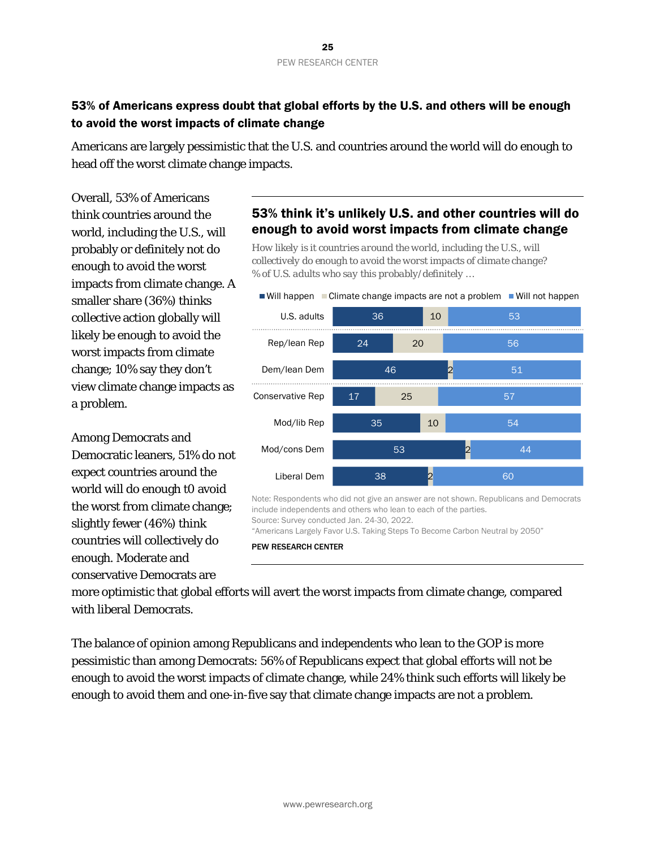# 53% of Americans express doubt that global efforts by the U.S. and others will be enough to avoid the worst impacts of climate change

Americans are largely pessimistic that the U.S. and countries around the world will do enough to head off the worst climate change impacts.

Overall, 53% of Americans think countries around the world, including the U.S., will probably or definitely *not* do enough to avoid the worst impacts from climate change. A smaller share (36%) thinks collective action globally will likely be enough to avoid the worst impacts from climate change; 10% say they don't view climate change impacts as a problem.

Among Democrats and Democratic leaners, 51% do not expect countries around the world will do enough t0 avoid the worst from climate change; slightly fewer (46%) think countries will collectively do enough. Moderate and conservative Democrats are

# 53% think it's unlikely U.S. and other countries will do enough to avoid worst impacts from climate change

*How likely is it countries around the world, including the U.S., will collectively do enough to avoid the worst impacts of climate change? % of U.S. adults who say this probably/definitely …* 



Note: Respondents who did not give an answer are not shown. Republicans and Democrats include independents and others who lean to each of the parties. Source: Survey conducted Jan. 24-30, 2022.

"Americans Largely Favor U.S. Taking Steps To Become Carbon Neutral by 2050"

PEW RESEARCH CENTER

more optimistic that global efforts will avert the worst impacts from climate change, compared with liberal Democrats.

The balance of opinion among Republicans and independents who lean to the GOP is more pessimistic than among Democrats: 56% of Republicans expect that global efforts will not be enough to avoid the worst impacts of climate change, while 24% think such efforts will likely be enough to avoid them and one-in-five say that climate change impacts are not a problem.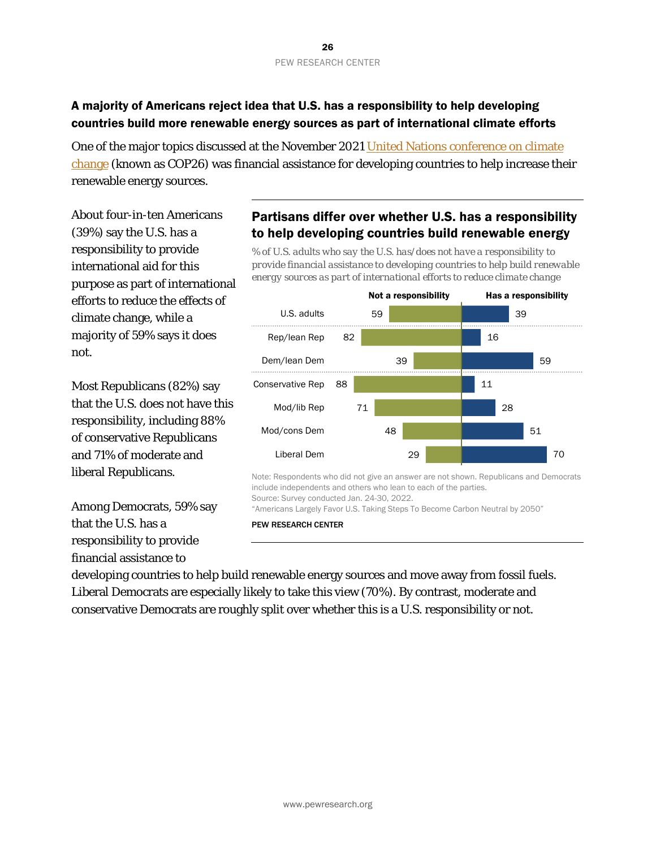# A majority of Americans reject idea that U.S. has a responsibility to help developing countries build more renewable energy sources as part of international climate efforts

One of the major topics discussed at the November 2021 United Nations conference on climate [change](https://www.reuters.com/business/cop/un-climate-negotiators-go-into-overtime-save-15-celsius-goal-2021-11-13/) (known as COP26) was financial assistance for developing countries to help increase their renewable energy sources.

About four-in-ten Americans (39%) say the U.S. has a responsibility to provide international aid for this purpose as part of international efforts to reduce the effects of climate change, while a majority of 59% says it does not.

Most Republicans (82%) say that the U.S. does not have this responsibility, including 88% of conservative Republicans and 71% of moderate and liberal Republicans.

Among Democrats, 59% say that the U.S. has a responsibility to provide financial assistance to

# Partisans differ over whether U.S. has a responsibility to help developing countries build renewable energy

*% of U.S. adults who say the U.S. has/does not have a responsibility to provide financial assistance to developing countries to help build renewable energy sources as part of international efforts to reduce climate change*



Note: Respondents who did not give an answer are not shown. Republicans and Democrats include independents and others who lean to each of the parties. Source: Survey conducted Jan. 24-30, 2022.

"Americans Largely Favor U.S. Taking Steps To Become Carbon Neutral by 2050"

PEW RESEARCH CENTER

developing countries to help build renewable energy sources and move away from fossil fuels. Liberal Democrats are especially likely to take this view (70%). By contrast, moderate and conservative Democrats are roughly split over whether this is a U.S. responsibility or not.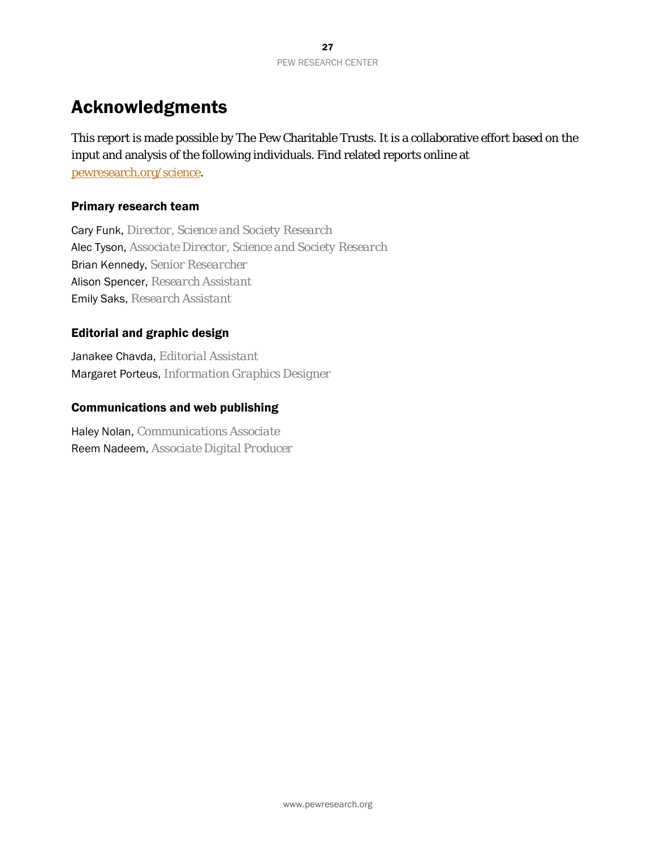# Acknowledgments

This report is made possible by The Pew Charitable Trusts. It is a collaborative effort based on the input and analysis of the following individuals. Find related reports online at [pewresearch.org/science.](http://www.pewresearch.org/science/)

### Primary research team

Cary Funk, *Director, Science and Society Research* Alec Tyson, *Associate Director, Science and Society Research* Brian Kennedy, *Senior Researcher* Alison Spencer, *Research Assistant* Emily Saks, *Research Assistant*

### Editorial and graphic design

Janakee Chavda, *Editorial Assistant* Margaret Porteus, *Information Graphics Designer*

### Communications and web publishing

Haley Nolan, *Communications Associate* Reem Nadeem, *Associate Digital Producer*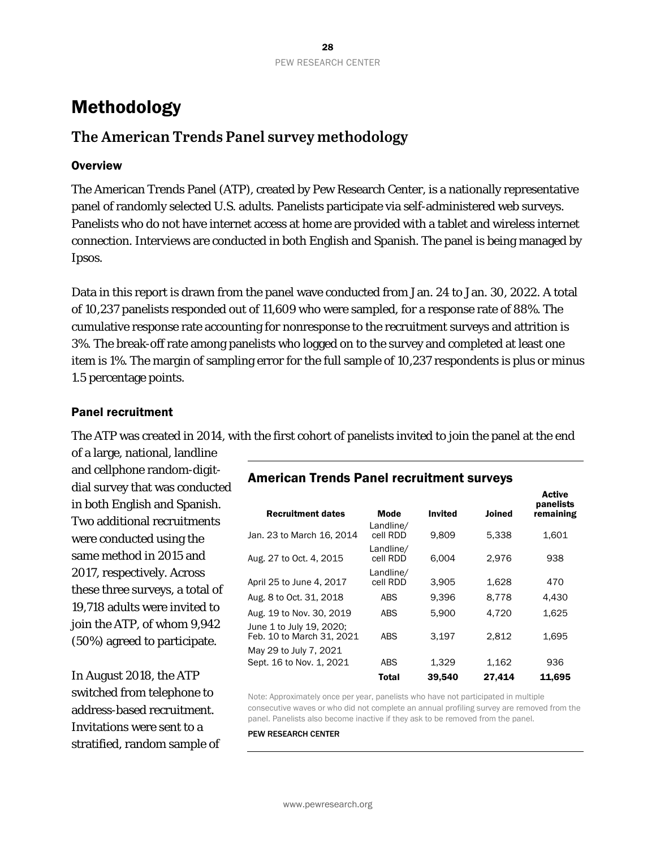# <span id="page-27-0"></span>Methodology

# **The American Trends Panel survey methodology**

### **Overview**

The American Trends Panel (ATP), created by Pew Research Center, is a nationally representative panel of randomly selected U.S. adults. Panelists participate via self-administered web surveys. Panelists who do not have internet access at home are provided with a tablet and wireless internet connection. Interviews are conducted in both English and Spanish. The panel is being managed by Ipsos.

Data in this report is drawn from the panel wave conducted from Jan. 24 to Jan. 30, 2022. A total of 10,237 panelists responded out of 11,609 who were sampled, for a response rate of 88%. The cumulative response rate accounting for nonresponse to the recruitment surveys and attrition is 3%. The break-off rate among panelists who logged on to the survey and completed at least one item is 1%. The margin of sampling error for the full sample of 10,237 respondents is plus or minus 1.5 percentage points.

### Panel recruitment

The ATP was created in 2014, with the first cohort of panelists invited to join the panel at the end

of a large, national, landline and cellphone random-digitdial survey that was conducted in both English and Spanish. Two additional recruitments were conducted using the same method in 2015 and 2017, respectively. Across these three surveys, a total of 19,718 adults were invited to join the ATP, of whom 9,942 (50%) agreed to participate.

In August 2018, the ATP switched from telephone to address-based recruitment. Invitations were sent to a stratified, random sample of

### American Trends Panel recruitment surveys

| <b>Recruitment dates</b>                              | <b>Mode</b>           | <b>Invited</b> | <b>Joined</b> | panelists<br>remaining |
|-------------------------------------------------------|-----------------------|----------------|---------------|------------------------|
| Jan. 23 to March 16, 2014                             | Landline/<br>cell RDD | 9,809          | 5,338         | 1,601                  |
| Aug. 27 to Oct. 4, 2015                               | Landline/<br>cell RDD | 6.004          | 2.976         | 938                    |
| April 25 to June 4, 2017                              | Landline/<br>cell RDD | 3.905          | 1.628         | 470                    |
| Aug. 8 to Oct. 31, 2018                               | <b>ABS</b>            | 9.396          | 8.778         | 4.430                  |
| Aug. 19 to Nov. 30, 2019                              | <b>ABS</b>            | 5.900          | 4.720         | 1.625                  |
| June 1 to July 19, 2020;<br>Feb. 10 to March 31, 2021 | <b>ABS</b>            | 3.197          | 2.812         | 1.695                  |
| May 29 to July 7, 2021                                |                       |                |               |                        |
| Sept. 16 to Nov. 1, 2021                              | <b>ABS</b>            | 1,329          | 1,162         | 936                    |
|                                                       | <b>Total</b>          | 39,540         | 27,414        | 11.695                 |

**Active** 

Note: Approximately once per year, panelists who have not participated in multiple consecutive waves or who did not complete an annual profiling survey are removed from the panel. Panelists also become inactive if they ask to be removed from the panel.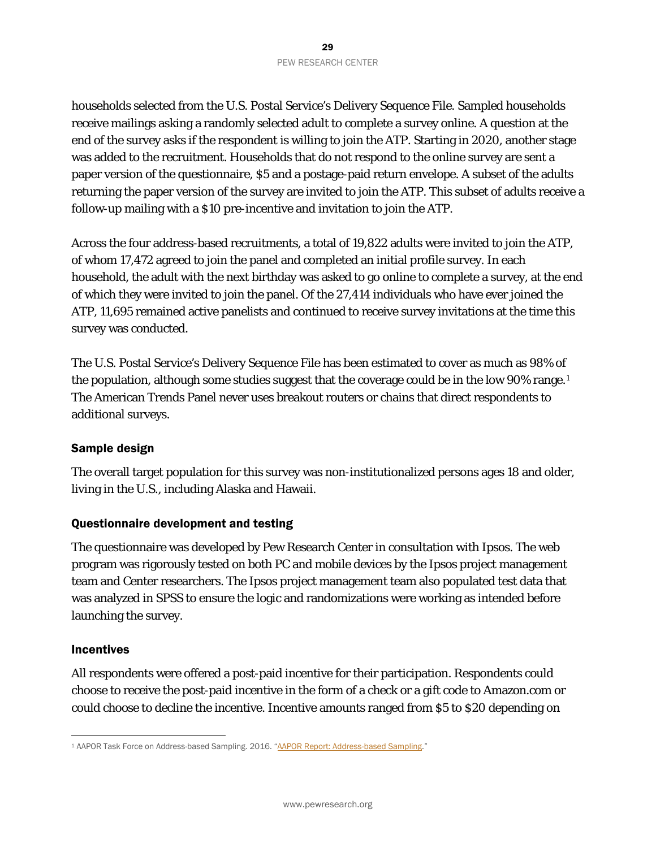households selected from the U.S. Postal Service's Delivery Sequence File. Sampled households receive mailings asking a randomly selected adult to complete a survey online. A question at the end of the survey asks if the respondent is willing to join the ATP. Starting in 2020, another stage was added to the recruitment. Households that do not respond to the online survey are sent a paper version of the questionnaire, \$5 and a postage-paid return envelope. A subset of the adults returning the paper version of the survey are invited to join the ATP. This subset of adults receive a follow-up mailing with a \$10 pre-incentive and invitation to join the ATP.

Across the four address-based recruitments, a total of 19,822 adults were invited to join the ATP, of whom 17,472 agreed to join the panel and completed an initial profile survey. In each household, the adult with the next birthday was asked to go online to complete a survey, at the end of which they were invited to join the panel. Of the 27,414 individuals who have ever joined the ATP, 11,695 remained active panelists and continued to receive survey invitations at the time this survey was conducted.

The U.S. Postal Service's Delivery Sequence File has been estimated to cover as much as 98% of the population, although some studies suggest that the coverage could be in the low 90% range.<sup>1</sup> The American Trends Panel never uses breakout routers or chains that direct respondents to additional surveys.

### Sample design

The overall target population for this survey was non-institutionalized persons ages 18 and older, living in the U.S., including Alaska and Hawaii.

### Questionnaire development and testing

The questionnaire was developed by Pew Research Center in consultation with Ipsos. The web program was rigorously tested on both PC and mobile devices by the Ipsos project management team and Center researchers. The Ipsos project management team also populated test data that was analyzed in SPSS to ensure the logic and randomizations were working as intended before launching the survey.

### Incentives

All respondents were offered a post-paid incentive for their participation. Respondents could choose to receive the post-paid incentive in the form of a check or a gift code to Amazon.com or could choose to decline the incentive. Incentive amounts ranged from \$5 to \$20 depending on

<span id="page-28-0"></span><sup>1</sup> AAPOR Task Force on Address-based Sampling. 2016. ["AAPOR Report: Address-based Sampling.](https://www.aapor.org/Education-Resources/Reports/Address-based-Sampling.aspx)"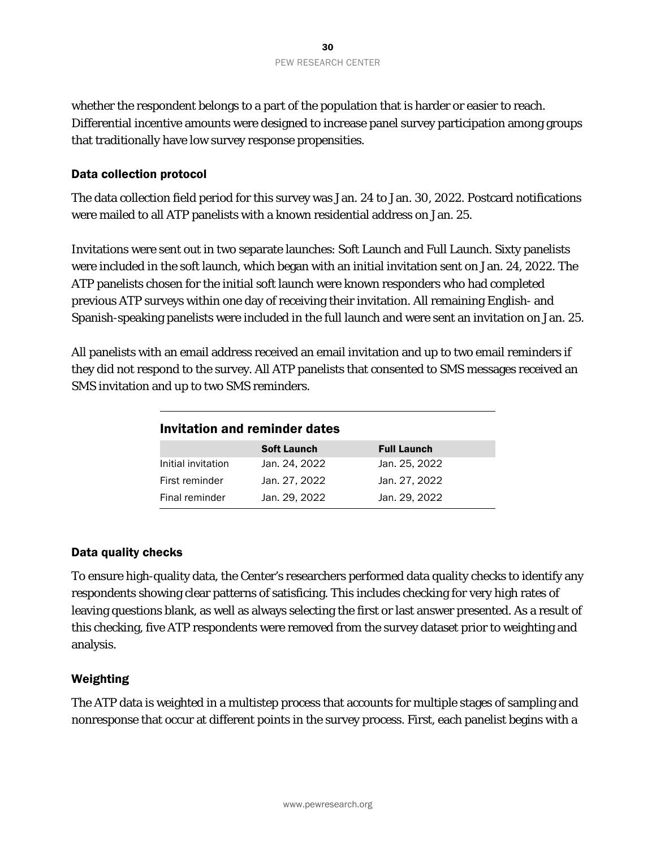whether the respondent belongs to a part of the population that is harder or easier to reach. Differential incentive amounts were designed to increase panel survey participation among groups that traditionally have low survey response propensities.

### Data collection protocol

The data collection field period for this survey was Jan. 24 to Jan. 30, 2022. Postcard notifications were mailed to all ATP panelists with a known residential address on Jan. 25.

Invitations were sent out in two separate launches: Soft Launch and Full Launch. Sixty panelists were included in the soft launch, which began with an initial invitation sent on Jan. 24, 2022. The ATP panelists chosen for the initial soft launch were known responders who had completed previous ATP surveys within one day of receiving their invitation. All remaining English- and Spanish-speaking panelists were included in the full launch and were sent an invitation on Jan. 25.

All panelists with an email address received an email invitation and up to two email reminders if they did not respond to the survey. All ATP panelists that consented to SMS messages received an SMS invitation and up to two SMS reminders.

| Invitation and reminder dates |                    |                    |  |  |  |  |
|-------------------------------|--------------------|--------------------|--|--|--|--|
|                               | <b>Soft Launch</b> | <b>Full Launch</b> |  |  |  |  |
| Initial invitation            | Jan. 24, 2022      | Jan. 25, 2022      |  |  |  |  |
| First reminder                | Jan. 27, 2022      | Jan. 27, 2022      |  |  |  |  |
| Final reminder                | Jan. 29, 2022      | Jan. 29, 2022      |  |  |  |  |

### Data quality checks

To ensure high-quality data, the Center's researchers performed data quality checks to identify any respondents showing clear patterns of satisficing. This includes checking for very high rates of leaving questions blank, as well as always selecting the first or last answer presented. As a result of this checking, five ATP respondents were removed from the survey dataset prior to weighting and analysis.

### Weighting

The ATP data is weighted in a multistep process that accounts for multiple stages of sampling and nonresponse that occur at different points in the survey process. First, each panelist begins with a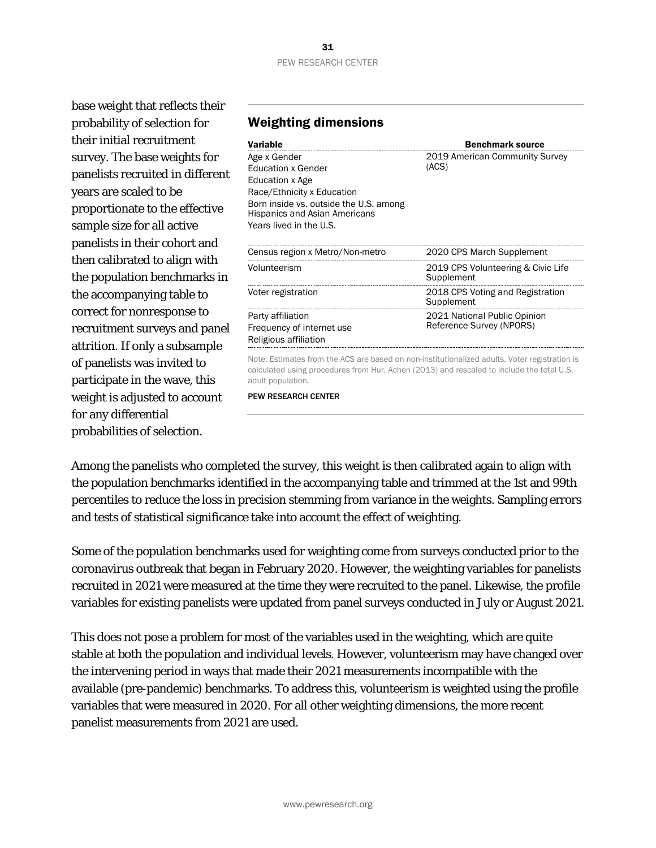base weight that reflects their probability of selection for their initial recruitment survey. The base weights for panelists recruited in different years are scaled to be proportionate to the effective sample size for all active panelists in their cohort and then calibrated to align with the population benchmarks in the accompanying table to correct for nonresponse to recruitment surveys and panel attrition. If only a subsample of panelists was invited to participate in the wave, this weight is adjusted to account for any differential probabilities of selection.

#### Variable **Benchmark source** Age x Gender Education x Gender Education x Age Race/Ethnicity x Education Born inside vs. outside the U.S. among Hispanics and Asian Americans Years lived in the U.S. 2019 American Community Survey (ACS) Census region x Metro/Non-metro 2020 CPS March Supplement Volunteerism 2019 CPS Volunteering & Civic Life Supplement Voter registration 2018 CPS Voting and Registration Supplement Party affiliation Frequency of internet use Religious affiliation 2021 National Public Opinion Reference Survey (NPORS) Note: Estimates from the ACS are based on non-institutionalized adults. Voter registration is

calculated using procedures from Hur, Achen (2013) and rescaled to include the total U.S. adult population.

PEW RESEARCH CENTER

Among the panelists who completed the survey, this weight is then calibrated again to align with the population benchmarks identified in the accompanying table and trimmed at the 1st and 99th percentiles to reduce the loss in precision stemming from variance in the weights. Sampling errors and tests of statistical significance take into account the effect of weighting.

Some of the population benchmarks used for weighting come from surveys conducted prior to the coronavirus outbreak that began in February 2020. However, the weighting variables for panelists recruited in 2021 were measured at the time they were recruited to the panel. Likewise, the profile variables for existing panelists were updated from panel surveys conducted in July or August 2021.

This does not pose a problem for most of the variables used in the weighting, which are quite stable at both the population and individual levels. However, volunteerism may have changed over the intervening period in ways that made their 2021 measurements incompatible with the available (pre-pandemic) benchmarks. To address this, volunteerism is weighted using the profile variables that were measured in 2020. For all other weighting dimensions, the more recent panelist measurements from 2021 are used.

Weighting dimensions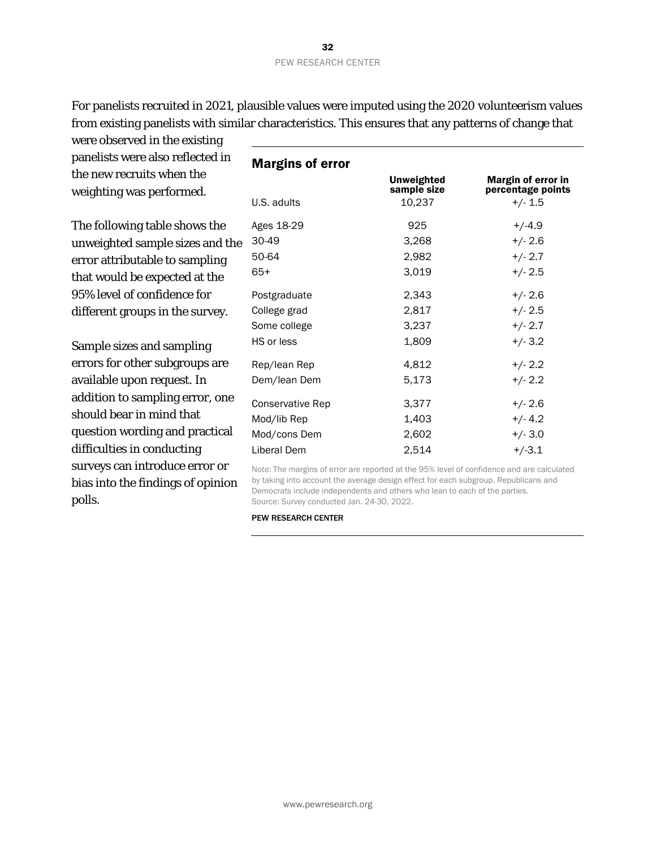For panelists recruited in 2021, plausible values were imputed using the 2020 volunteerism values from existing panelists with similar characteristics. This ensures that any patterns of change that

were observed in the existing panelists were also reflected in the new recruits when the weighting was performed.

The following table shows the unweighted sample sizes and the error attributable to sampling that would be expected at the 95% level of confidence for different groups in the survey.

Sample sizes and sampling errors for other subgroups are available upon request. In addition to sampling error, one should bear in mind that question wording and practical difficulties in conducting surveys can introduce error or bias into the findings of opinion polls.

| <b>Margins of error</b> | <b>Unweighted</b><br>sample size | Margin of error in<br>percentage points |
|-------------------------|----------------------------------|-----------------------------------------|
| U.S. adults             | 10,237                           | $+/- 1.5$                               |
| Ages 18-29              | 925                              | $+/-4.9$                                |
| 30-49                   | 3,268                            | $+/- 2.6$                               |
| 50-64                   | 2,982                            | $+/- 2.7$                               |
| $65+$                   | 3,019                            | $+/- 2.5$                               |
| Postgraduate            | 2,343                            | $+/- 2.6$                               |
| College grad            | 2,817                            | $+/- 2.5$                               |
| Some college            | 3,237                            | $+/- 2.7$                               |
| HS or less              | 1,809                            | $+/- 3.2$                               |
| Rep/lean Rep            | 4,812                            | $+/- 2.2$                               |
| Dem/lean Dem            | 5,173                            | $+/- 2.2$                               |
| Conservative Rep        | 3,377                            | $+/- 2.6$                               |
| Mod/lib Rep             | 1,403                            | $+/- 4.2$                               |
| Mod/cons Dem            | 2,602                            | $+/- 3.0$                               |
| Liberal Dem             | 2,514                            | $+/-3.1$                                |

Note: The margins of error are reported at the 95% level of confidence and are calculated by taking into account the average design effect for each subgroup. Republicans and Democrats include independents and others who lean to each of the parties. Source: Survey conducted Jan. 24-30, 2022.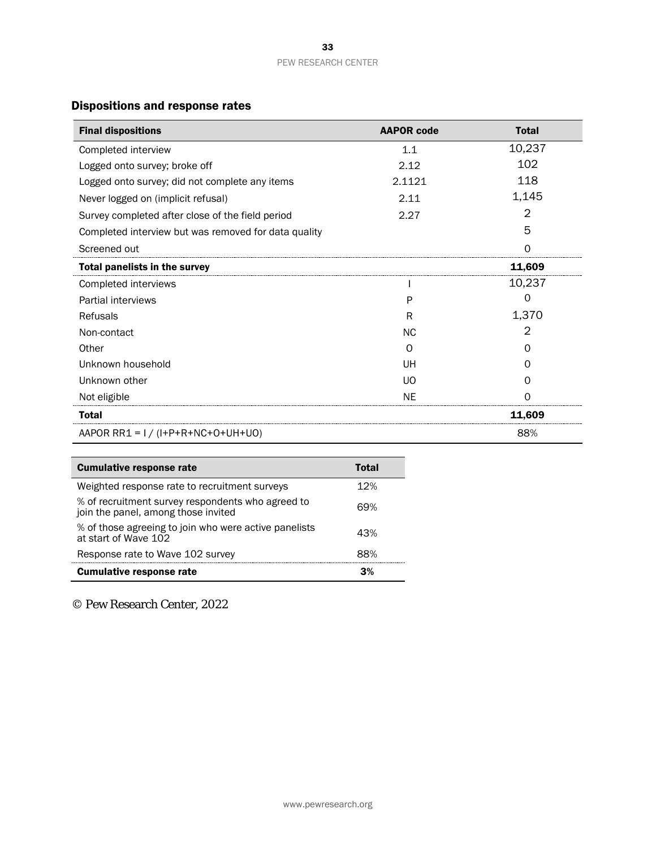# Dispositions and response rates

| <b>Final dispositions</b>                            | <b>AAPOR code</b> | <b>Total</b> |
|------------------------------------------------------|-------------------|--------------|
| Completed interview                                  | 1.1               | 10,237       |
| Logged onto survey; broke off                        | 2.12              | 102          |
| Logged onto survey; did not complete any items       | 2.1121            | 118          |
| Never logged on (implicit refusal)                   | 2.11              | 1,145        |
| Survey completed after close of the field period     | 2.27              | 2            |
| Completed interview but was removed for data quality |                   | 5            |
| Screened out                                         |                   | Ω            |
| <b>Total panelists in the survey</b>                 |                   | 11,609       |
| Completed interviews                                 |                   | 10,237       |
| Partial interviews                                   | P                 | 0            |
| Refusals                                             | R                 | 1,370        |
| Non-contact                                          | <b>NC</b>         | 2            |
| Other                                                | ∩                 | O            |
| Unknown household                                    | UH                | O            |
| Unknown other                                        | UO                | O            |
| Not eligible                                         | ΝF                |              |
| <b>Total</b>                                         |                   | 11.609       |
| AAPOR RR1 = $I / (I+P+R+NC+O+UH+UO)$                 |                   | 88%          |

| <b>Cumulative response rate</b>                                                          | Total |
|------------------------------------------------------------------------------------------|-------|
| Weighted response rate to recruitment surveys                                            | 12%   |
| % of recruitment survey respondents who agreed to<br>join the panel, among those invited | 69%   |
| % of those agreeing to join who were active panelists<br>at start of Wave 102            | 43%   |
| Response rate to Wave 102 survey                                                         | 88%   |
| <b>Cumulative response rate</b>                                                          | 3%    |

© Pew Research Center, 2022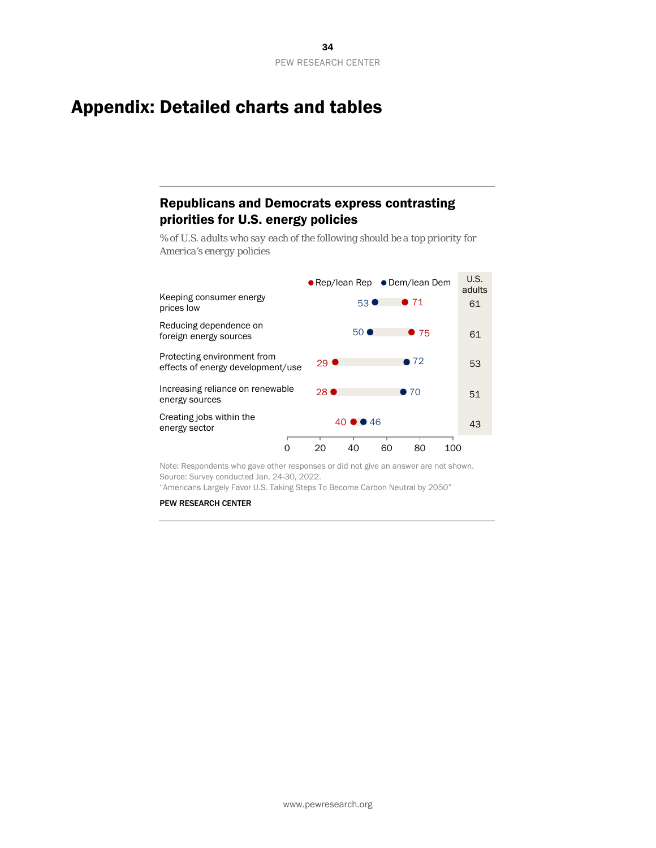# <span id="page-33-0"></span>Appendix: Detailed charts and tables

# Republicans and Democrats express contrasting priorities for U.S. energy policies

*% of U.S. adults who say each of the following should be a top priority for America's energy policies*



Note: Respondents who gave other responses or did not give an answer are not shown. Source: Survey conducted Jan. 24-30, 2022.

"Americans Largely Favor U.S. Taking Steps To Become Carbon Neutral by 2050"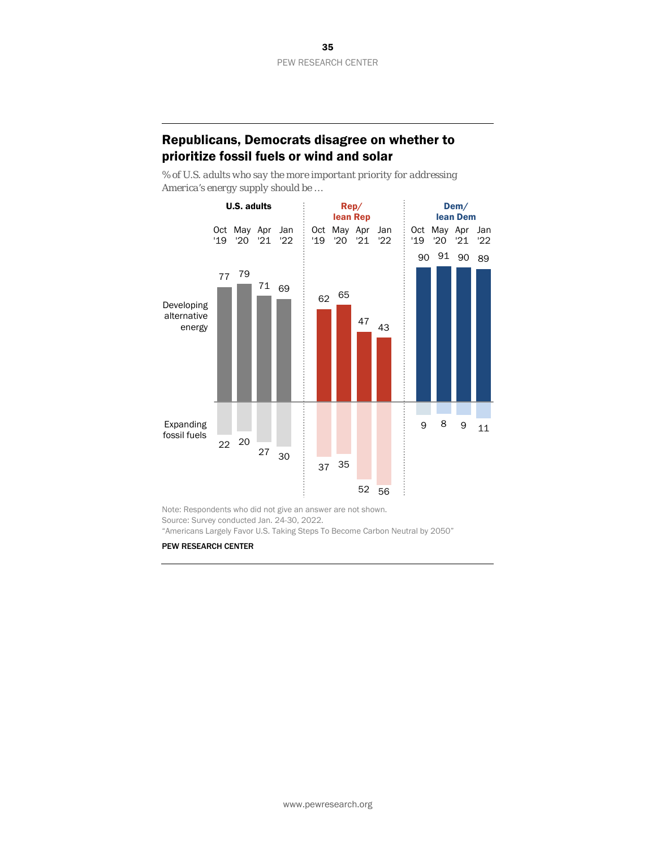### Republicans, Democrats disagree on whether to prioritize fossil fuels or wind and solar

*% of U.S. adults who say the more important priority for addressing America's energy supply should be …*



Note: Respondents who did not give an answer are not shown. Source: Survey conducted Jan. 24-30, 2022. "Americans Largely Favor U.S. Taking Steps To Become Carbon Neutral by 2050"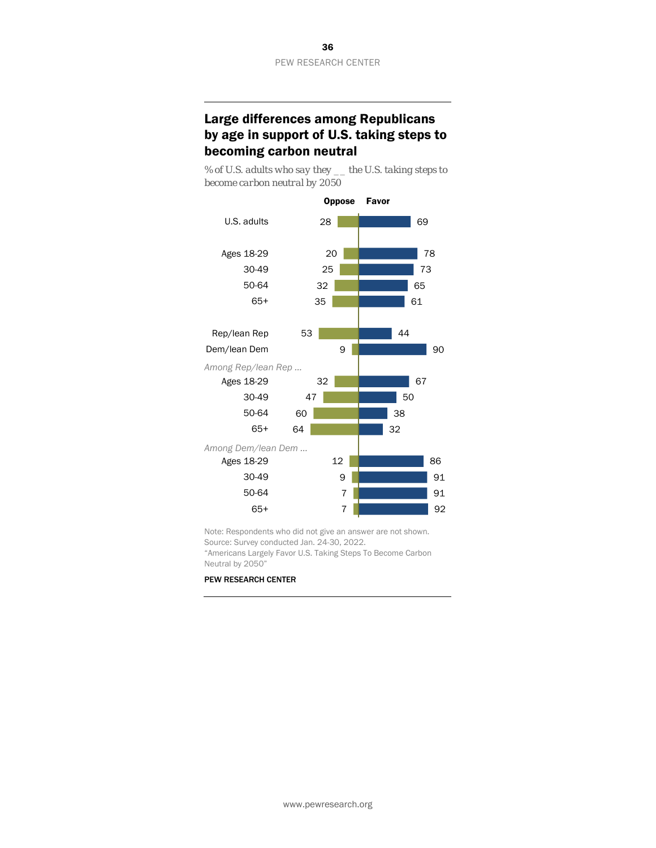# Large differences among Republicans by age in support of U.S. taking steps to becoming carbon neutral

*% of U.S. adults who say they \_\_ the U.S. taking steps to become carbon neutral by 2050*



Note: Respondents who did not give an answer are not shown. Source: Survey conducted Jan. 24-30, 2022.

"Americans Largely Favor U.S. Taking Steps To Become Carbon Neutral by 2050"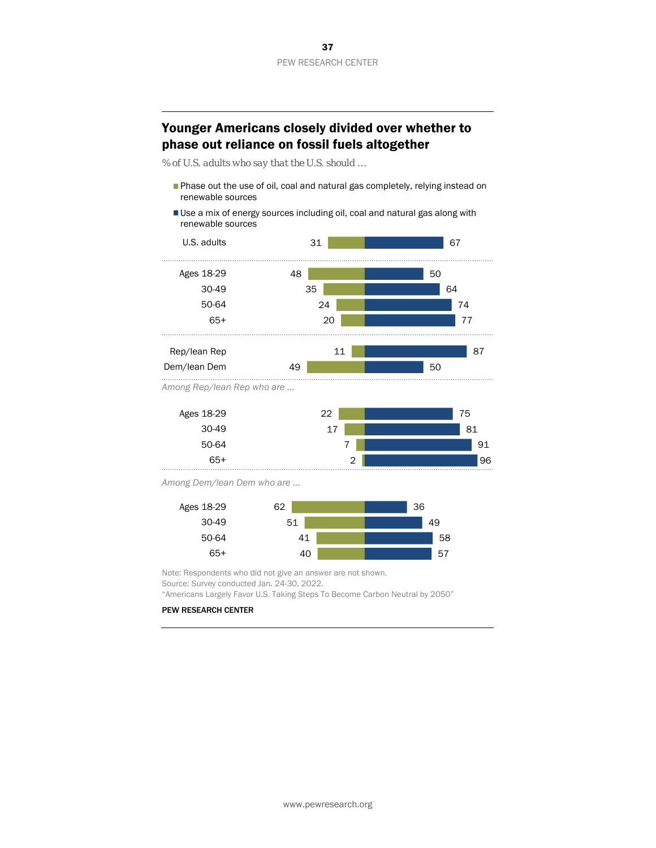# Younger Americans closely divided over whether to phase out reliance on fossil fuels altogether

*% of U.S. adults who say that the U.S. should …*

- Phase out the use of oil, coal and natural gas completely, relying instead on renewable sources
- Use a mix of energy sources including oil, coal and natural gas along with renewable sources





*Among Dem/lean Dem who are ...*



Note: Respondents who did not give an answer are not shown. Source: Survey conducted Jan. 24-30, 2022.

"Americans Largely Favor U.S. Taking Steps To Become Carbon Neutral by 2050"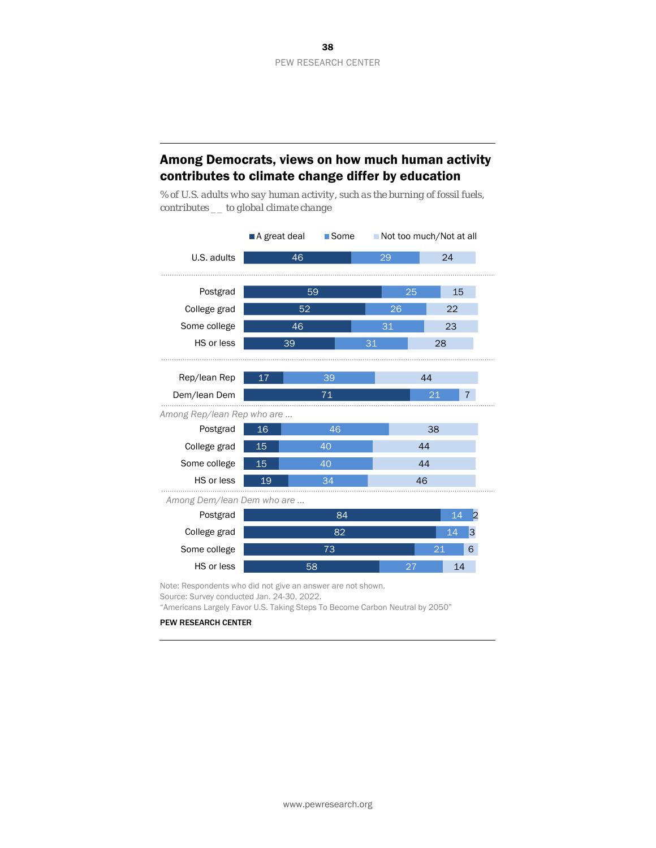# Among Democrats, views on how much human activity contributes to climate change differ by education

*% of U.S. adults who say human activity, such as the burning of fossil fuels, contributes \_\_ to global climate change*



Note: Respondents who did not give an answer are not shown.

Source: Survey conducted Jan. 24-30, 2022.

"Americans Largely Favor U.S. Taking Steps To Become Carbon Neutral by 2050"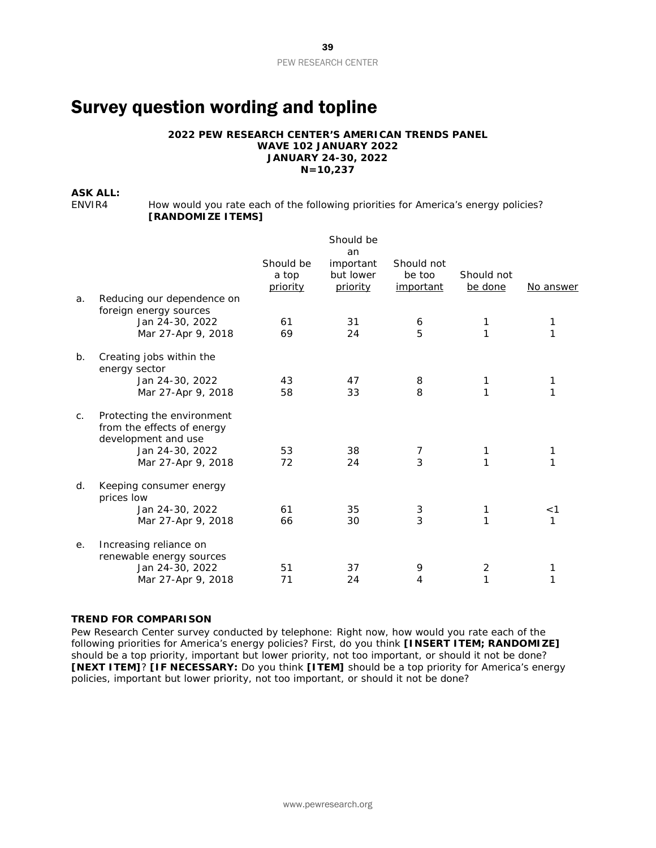# <span id="page-38-0"></span>Survey question wording and topline

#### **2022 PEW RESEARCH CENTER'S AMERICAN TRENDS PANEL WAVE 102 JANUARY 2022 JANUARY 24-30, 2022 N=10,237**

#### **ASK ALL:**

ENVIR4 How would you rate each of the following priorities for America's energy policies? **[RANDOMIZE ITEMS]**

|    |                                                                                 |                                | Should be<br>an                    |                                   |                       |            |
|----|---------------------------------------------------------------------------------|--------------------------------|------------------------------------|-----------------------------------|-----------------------|------------|
|    |                                                                                 | Should be<br>a top<br>priority | important<br>but lower<br>priority | Should not<br>be too<br>important | Should not<br>be done | No answer  |
| a. | Reducing our dependence on<br>foreign energy sources                            |                                |                                    |                                   |                       |            |
|    | Jan 24-30, 2022<br>Mar 27-Apr 9, 2018                                           | 61<br>69                       | 31<br>24                           | 6<br>5                            | 1<br>1                | 1<br>1     |
| b. | Creating jobs within the<br>energy sector                                       |                                |                                    |                                   |                       |            |
|    | Jan 24-30, 2022<br>Mar 27-Apr 9, 2018                                           | 43<br>58                       | 47<br>33                           | 8<br>8                            |                       | 1          |
| C. | Protecting the environment<br>from the effects of energy<br>development and use |                                |                                    |                                   |                       |            |
|    | Jan 24-30, 2022<br>Mar 27-Apr 9, 2018                                           | 53<br>72                       | 38<br>24                           | 7<br>$\overline{3}$               | 1<br>1                | 1<br>1     |
| d. | Keeping consumer energy<br>prices low                                           |                                |                                    |                                   |                       |            |
|    | Jan 24-30, 2022<br>Mar 27-Apr 9, 2018                                           | 61<br>66                       | 35<br>30                           | 3<br>3                            | 1                     | $<$ 1<br>1 |
| е. | Increasing reliance on<br>renewable energy sources                              |                                |                                    |                                   |                       |            |
|    | Jan 24-30, 2022<br>Mar 27-Apr 9, 2018                                           | 51<br>71                       | 37<br>24                           | 9<br>4                            | 2<br>1                | 1<br>1     |

#### *TREND FOR COMPARISON*

*Pew Research Center survey conducted by telephone: Right now, how would you rate each of the following priorities for America's energy policies? First, do you think [INSERT ITEM; RANDOMIZE] should be a top priority, important but lower priority, not too important, or should it not be done? [NEXT ITEM]? [IF NECESSARY: Do you think [ITEM] should be a top priority for America's energy policies, important but lower priority, not too important, or should it not be done?*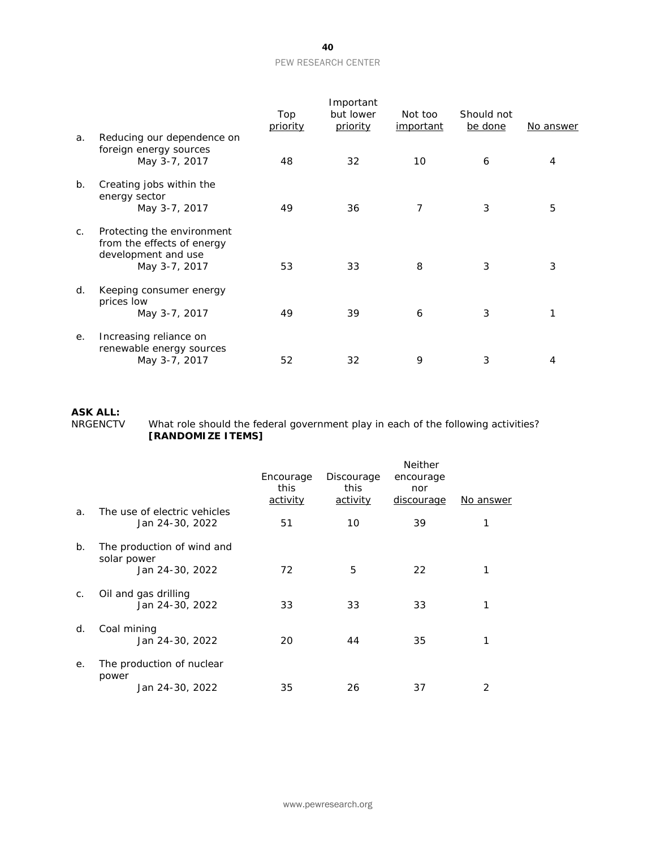|                |                                                                                                  | Top<br>priority | Important<br>but lower<br>priority | Not too<br>important | Should not<br>be done | No answer |
|----------------|--------------------------------------------------------------------------------------------------|-----------------|------------------------------------|----------------------|-----------------------|-----------|
| a.             | Reducing our dependence on<br>foreign energy sources<br>May 3-7, 2017                            | 48              | 32                                 | 10                   | 6                     | 4         |
| $b$ .          | Creating jobs within the<br>energy sector<br>May 3-7, 2017                                       | 49              | 36                                 | $\overline{7}$       | 3                     | 5         |
| $\mathsf{C}$ . | Protecting the environment<br>from the effects of energy<br>development and use<br>May 3-7, 2017 | 53              | 33                                 | 8                    | 3                     | 3         |
| d.             | Keeping consumer energy<br>prices low<br>May 3-7, 2017                                           | 49              | 39                                 | 6                    | 3                     | 1         |
| е.             | Increasing reliance on<br>renewable energy sources<br>May 3-7, 2017                              | 52              | 32                                 | 9                    | 3                     | 4         |

# **ASK ALL:**

NRGENCTV What role should the federal government play in each of the following activities? **[RANDOMIZE ITEMS]**

|             |                                                 | Encourage               | Discourage       | <b>Neither</b><br>encourage |           |
|-------------|-------------------------------------------------|-------------------------|------------------|-----------------------------|-----------|
|             |                                                 | this<br><u>activity</u> | this<br>activity | nor<br><u>discourage</u>    | No answer |
| a.          | The use of electric vehicles<br>Jan 24-30, 2022 | 51                      | 10               | 39                          |           |
| $b_{\cdot}$ | The production of wind and<br>solar power       |                         |                  |                             |           |
|             | Jan 24-30, 2022                                 | 72                      | 5                | 22                          |           |
| C.          | Oil and gas drilling<br>Jan 24-30, 2022         | 33                      | 33               | 33                          |           |
| d.          | Coal mining<br>Jan 24-30, 2022                  | 20                      | 44               | 35                          |           |
| е.          | The production of nuclear<br>power              |                         |                  |                             |           |
|             | Jan 24-30, 2022                                 | 35                      | 26               | 37                          | 2         |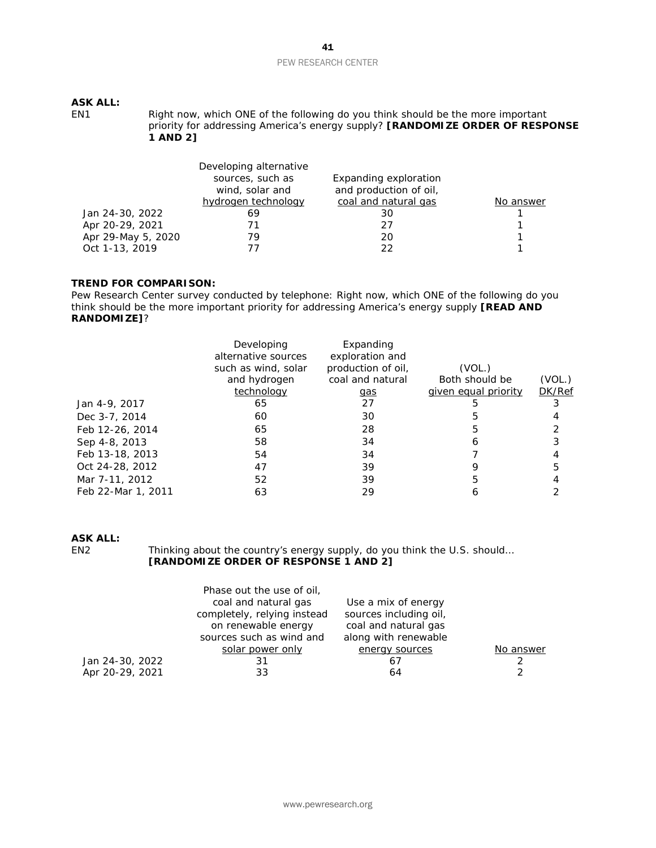# **ASK ALL:**

Right now, which ONE of the following do you think should be the more important priority for addressing America's energy supply? **[RANDOMIZE ORDER OF RESPONSE 1 AND 2]**

|                    | Developing alternative |                        |           |
|--------------------|------------------------|------------------------|-----------|
|                    | sources, such as       | Expanding exploration  |           |
|                    | wind, solar and        | and production of oil, |           |
|                    | hydrogen technology    | coal and natural gas   | No answer |
| Jan 24-30, 2022    | 69                     | 30                     |           |
| Apr 20-29, 2021    |                        | 27                     |           |
| Apr 29-May 5, 2020 | 79                     | 20                     |           |
| Oct 1-13, 2019     |                        | つつ                     |           |

#### *TREND FOR COMPARISON:*

*Pew Research Center survey conducted by telephone: Right now, which ONE of the following do you think should be the more important priority for addressing America's energy supply [READ AND RANDOMIZE]?*

|                    | Developing<br>alternative sources<br>such as wind, solar<br>and hydrogen<br>technology | Expanding<br>exploration and<br>production of oil,<br>coal and natural<br><u>gas</u> | (VOL.)<br>Both should be<br>given equal priority | (VOL.)<br><b>DK/Ref</b> |
|--------------------|----------------------------------------------------------------------------------------|--------------------------------------------------------------------------------------|--------------------------------------------------|-------------------------|
| Jan 4-9, 2017      | 65                                                                                     | 27                                                                                   |                                                  |                         |
| Dec 3-7, 2014      | 60                                                                                     | 30                                                                                   |                                                  |                         |
| Feb 12-26, 2014    | 65                                                                                     | 28                                                                                   | 5                                                |                         |
| Sep 4-8, 2013      | 58                                                                                     | 34                                                                                   | 6                                                |                         |
| Feb 13-18, 2013    | 54                                                                                     | 34                                                                                   |                                                  |                         |
| Oct 24-28, 2012    | 47                                                                                     | 39                                                                                   |                                                  | 5                       |
| Mar 7-11, 2012     | 52                                                                                     | 39                                                                                   | 5                                                |                         |
| Feb 22-Mar 1, 2011 | 63                                                                                     | 29                                                                                   |                                                  |                         |

# **ASK ALL:**

Thinking about the country's energy supply, do you think the U.S. should... **[RANDOMIZE ORDER OF RESPONSE 1 AND 2]**

|                 | Phase out the use of oil,   |                        |           |
|-----------------|-----------------------------|------------------------|-----------|
|                 | coal and natural gas        | Use a mix of energy    |           |
|                 | completely, relying instead | sources including oil, |           |
|                 | on renewable energy         | coal and natural gas   |           |
|                 | sources such as wind and    | along with renewable   |           |
|                 | solar power only            | energy sources         | No answer |
| Jan 24-30, 2022 | 31                          | 67                     |           |
| Apr 20-29, 2021 | 33                          | 64                     | 2         |
|                 |                             |                        |           |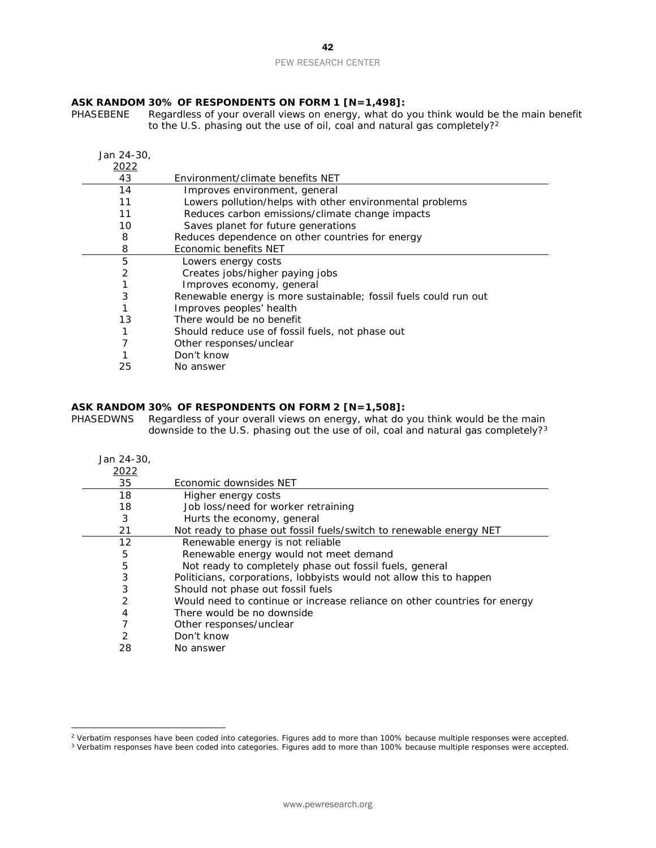# **ASK RANDOM 30% OF RESPONDENTS ON FORM 1 [N=1,498]:**

Regardless of your overall views on energy, what do you think would be the main benefit to the U.S. phasing out the use of oil, coal and natural gas completely?<sup>[2](#page-41-0)</sup>

| Jan 24-30, |                                                                  |
|------------|------------------------------------------------------------------|
| 2022       |                                                                  |
| 43         | Environment/climate benefits NET                                 |
| 14         | Improves environment, general                                    |
| 11         | Lowers pollution/helps with other environmental problems         |
| 11         | Reduces carbon emissions/climate change impacts                  |
| 10         | Saves planet for future generations                              |
| 8          | Reduces dependence on other countries for energy                 |
| 8          | Economic benefits NET                                            |
| 5          | Lowers energy costs                                              |
| 2          | Creates jobs/higher paying jobs                                  |
|            | Improves economy, general                                        |
| 3          | Renewable energy is more sustainable; fossil fuels could run out |
|            | Improves peoples' health                                         |
| 13         | There would be no benefit                                        |
|            | Should reduce use of fossil fuels, not phase out                 |
|            | Other responses/unclear                                          |
|            | Don't know                                                       |
| 25         | No answer                                                        |

#### **ASK RANDOM 30% OF RESPONDENTS ON FORM 2 [N=1,508]:**

PHASEDWNS Regardless of your overall views on energy, what do you think would be the main downside to the U.S. phasing out the use of oil, coal and natural gas completely?<sup>[3](#page-41-1)</sup>

| Jan 24-30, |                                                                           |
|------------|---------------------------------------------------------------------------|
| 2022       |                                                                           |
| 35         | Economic downsides NET                                                    |
| 18         | Higher energy costs                                                       |
| 18         | Job loss/need for worker retraining                                       |
| 3          | Hurts the economy, general                                                |
| 21         | Not ready to phase out fossil fuels/switch to renewable energy NET        |
| 12         | Renewable energy is not reliable                                          |
| 5          | Renewable energy would not meet demand                                    |
| 5          | Not ready to completely phase out fossil fuels, general                   |
| 3          | Politicians, corporations, lobbyists would not allow this to happen       |
| 3          | Should not phase out fossil fuels                                         |
| 2          | Would need to continue or increase reliance on other countries for energy |
| 4          | There would be no downside                                                |
| 7          | Other responses/unclear                                                   |
| 2          | Don't know                                                                |
| 28         | No answer                                                                 |

<span id="page-41-0"></span>Verbatim responses have been coded into categories. Figures add to more than 100% because multiple responses were accepted.

<span id="page-41-1"></span>Verbatim responses have been coded into categories. Figures add to more than 100% because multiple responses were accepted.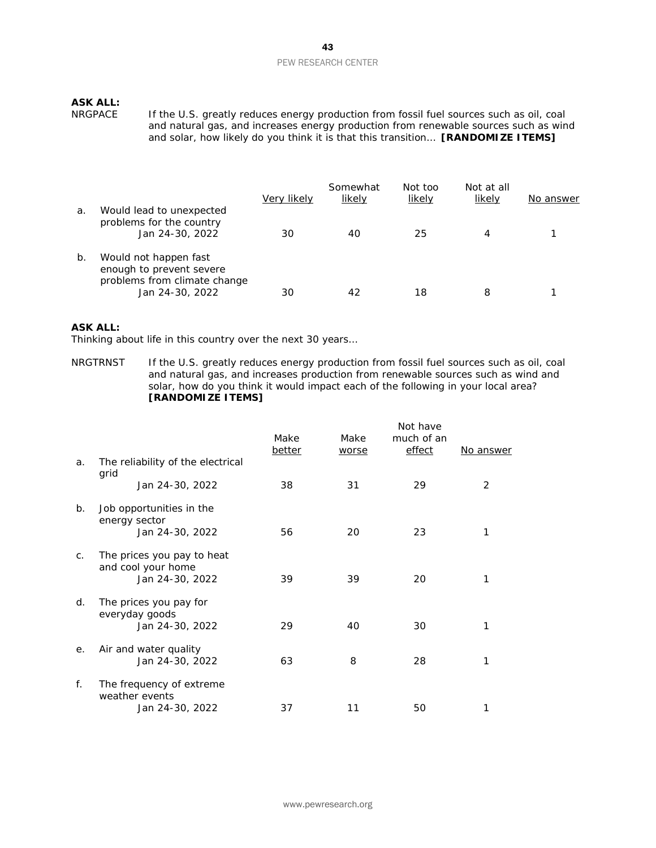# **ASK ALL:**

If the U.S. greatly reduces energy production from fossil fuel sources such as oil, coal and natural gas, and increases energy production from renewable sources such as wind and solar, how likely do you think it is that this transition… **[RANDOMIZE ITEMS]**

| a. | Would lead to unexpected                                                                             | Very likely | Somewhat<br>likely | Not too<br>likely | Not at all<br>likely | No answer |
|----|------------------------------------------------------------------------------------------------------|-------------|--------------------|-------------------|----------------------|-----------|
|    | problems for the country<br>Jan 24-30, 2022                                                          | 30          | 40                 | 25                | 4                    |           |
| b. | Would not happen fast<br>enough to prevent severe<br>problems from climate change<br>Jan 24-30, 2022 | 30          | 42                 | 18                | 8                    |           |

#### **ASK ALL:**

Thinking about life in this country over the next 30 years…

NRGTRNST If the U.S. greatly reduces energy production from fossil fuel sources such as oil, coal and natural gas, and increases production from renewable sources such as wind and solar, how do you think it would impact each of the following in your local area? **[RANDOMIZE ITEMS]**

|    |                                                                     | Make   | Make  | Not have<br>much of an |           |
|----|---------------------------------------------------------------------|--------|-------|------------------------|-----------|
| a. | The reliability of the electrical                                   | better | worse | effect                 | No answer |
|    | grid<br>Jan 24-30, 2022                                             | 38     | 31    | 29                     | 2         |
| b. | Job opportunities in the<br>energy sector<br>Jan 24-30, 2022        | 56     | 20    | 23                     | 1         |
| C. | The prices you pay to heat<br>and cool your home<br>Jan 24-30, 2022 | 39     | 39    | 20                     | 1         |
| d. | The prices you pay for<br>everyday goods<br>Jan 24-30, 2022         | 29     | 40    | 30                     | 1         |
| е. | Air and water quality<br>Jan 24-30, 2022                            | 63     | 8     | 28                     | 1         |
| f. | The frequency of extreme<br>weather events<br>Jan 24-30, 2022       | 37     | 11    | 50                     |           |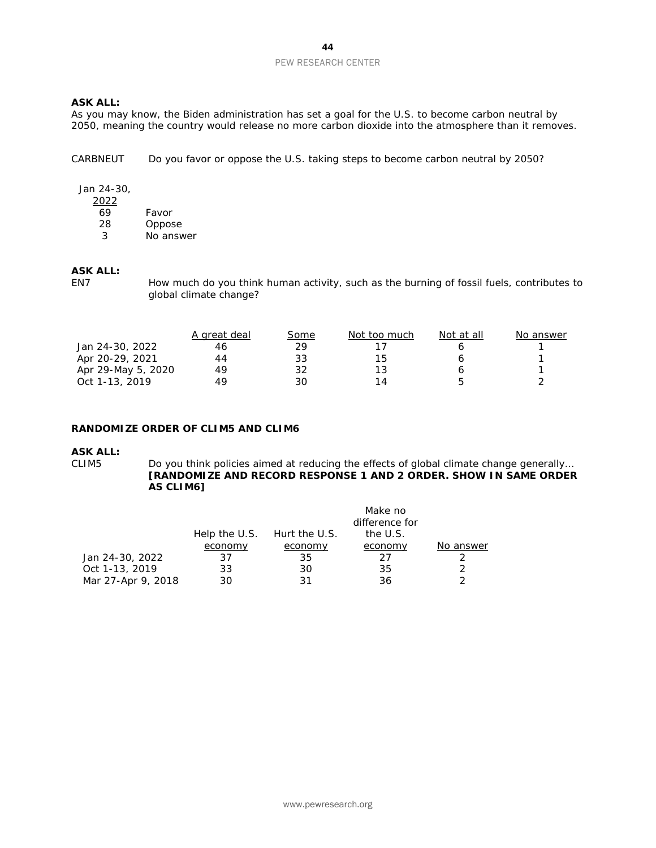#### **ASK ALL:**

As you may know, the Biden administration has set a goal for the U.S. to become carbon neutral by 2050, meaning the country would release no more carbon dioxide into the atmosphere than it removes.

CARBNEUT Do you favor or oppose the U.S. taking steps to become carbon neutral by 2050?

#### Jan 24-30,

| 2022 |           |
|------|-----------|
| 69   | Favor     |
| 28   | Oppose    |
| 3    | No answer |
|      |           |

# **ASK ALL:**

How much do you think human activity, such as the burning of fossil fuels, contributes to global climate change?

|                    | A great deal | <u>Some</u> | Not too much | Not at all | No answer |
|--------------------|--------------|-------------|--------------|------------|-----------|
| Jan 24-30, 2022    | 46           | 29          |              |            |           |
| Apr 20-29, 2021    | 44           | 33          | 15           |            |           |
| Apr 29-May 5, 2020 | 49           | 32          | 13           |            |           |
| Oct 1-13, 2019     | 49           | 30          | 14           | г          |           |

#### **RANDOMIZE ORDER OF CLIM5 AND CLIM6**

#### **ASK ALL:**

CLIM5 Do you think policies aimed at reducing the effects of global climate change generally… **[RANDOMIZE AND RECORD RESPONSE 1 AND 2 ORDER. SHOW IN SAME ORDER AS CLIM6]**

|                    |         |                             | Make no        |           |
|--------------------|---------|-----------------------------|----------------|-----------|
|                    |         |                             | difference for |           |
|                    |         | Help the U.S. Hurt the U.S. | the U.S.       |           |
|                    | economy | economy                     | economy        | No answer |
| Jan 24-30, 2022    | 37      | 35                          | 27             |           |
| Oct 1-13, 2019     | 33      | 30                          | 35             |           |
| Mar 27-Apr 9, 2018 | 30      | 31                          | 36             |           |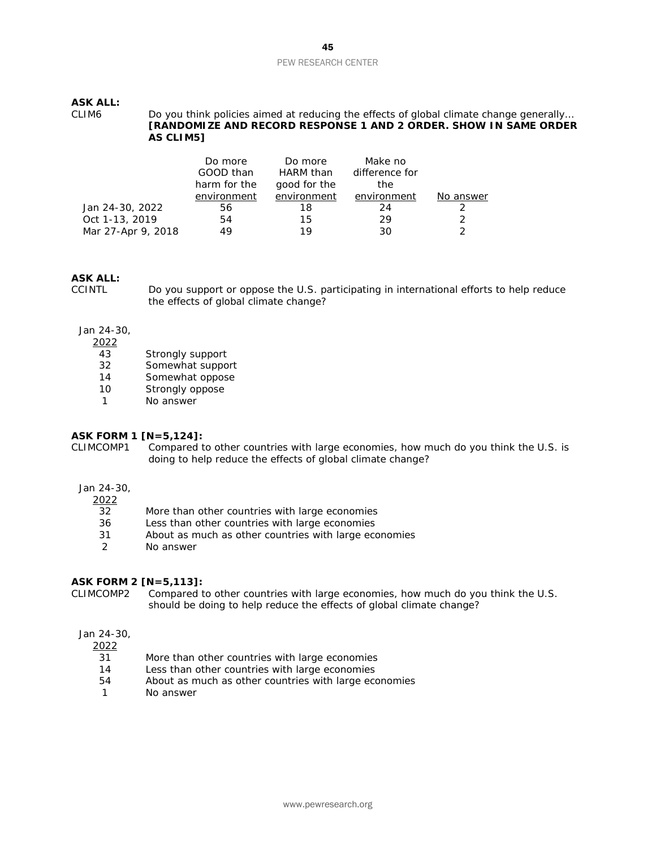#### **ASK ALL:**

CLIM6 Do you think policies aimed at reducing the effects of global climate change generally… **[RANDOMIZE AND RECORD RESPONSE 1 AND 2 ORDER. SHOW IN SAME ORDER AS CLIM5]**

|                    | Do more<br>GOOD than | Do more<br>HARM than | Make no<br>difference for |           |
|--------------------|----------------------|----------------------|---------------------------|-----------|
|                    | harm for the         | good for the         | the.                      |           |
|                    | environment          | environment          | environment               | No answer |
| Jan 24-30, 2022    | 56                   | 18                   | 24                        |           |
| Oct 1-13, 2019     | 54                   | 15                   | 29                        |           |
| Mar 27-Apr 9, 2018 | 49                   | 19                   | 30                        |           |

# **ASK ALL:**

Do you support or oppose the U.S. participating in international efforts to help reduce the effects of global climate change?

#### Jan 24-30,

 $\frac{2022}{43}$ 

- Strongly support
- 32 Somewhat support<br>14 Somewhat oppose
- Somewhat oppose
- 10 Strongly oppose
- 1 No answer

#### **ASK FORM 1 [N=5,124]:**

CLIMCOMP1 Compared to other countries with large economies, how much do you think the U.S. is doing to help reduce the effects of global climate change?

#### Jan 24-30,

2022

- 32 More than other countries with large economies
- 36 Less than other countries with large economies
- 31 About as much as other countries with large economies<br>
2 No answer
- No answer

#### **ASK FORM 2 [N=5,113]:**

CLIMCOMP2 Compared to other countries with large economies, how much do you think the U.S. should be doing to help reduce the effects of global climate change?

#### Jan 24-30,

 $\frac{2022}{31}$ 

- More than other countries with large economies
- 14 Less than other countries with large economies
- 54 About as much as other countries with large economies
- 1 No answer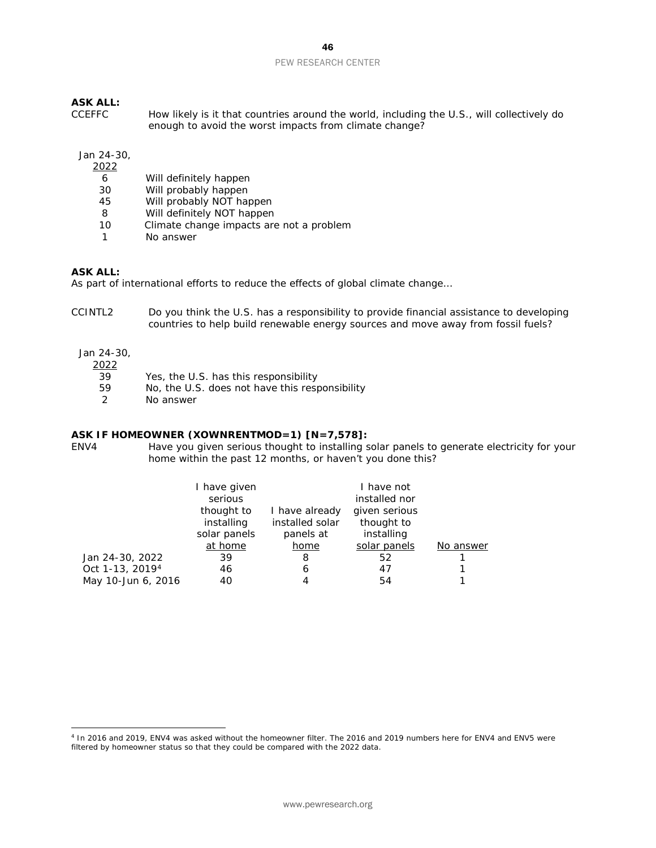# **ASK ALL:**

How likely is it that countries around the world, including the U.S., will collectively do enough to avoid the worst impacts from climate change?

#### Jan 24-30,

| 2022 |                                          |
|------|------------------------------------------|
| 6    | Will definitely happen                   |
| 30   | Will probably happen                     |
| 45   | Will probably NOT happen                 |
| 8    | Will definitely NOT happen               |
| 10   | Climate change impacts are not a problem |
| 1    | No answer                                |

#### **ASK ALL:**

As part of international efforts to reduce the effects of global climate change...

CCINTL2 Do you think the U.S. has a responsibility to provide financial assistance to developing countries to help build renewable energy sources and move away from fossil fuels?

#### Jan 24-30,

# $\frac{2022}{39}$

- 39 Yes, the U.S. has this responsibility<br>59 No, the U.S. does not have this resp
- $59$  No, the U.S. does not have this responsibility  $2$  No answer
- No answer

#### **ASK IF HOMEOWNER (XOWNRENTMOD=1) [N=7,578]:**

ENV4 Have you given serious thought to installing solar panels to generate electricity for your home within the past 12 months, or haven't you done this?

|                             | I have given<br>serious<br>thought to<br>installing<br>solar panels | I have already<br>installed solar<br>panels at | I have not<br>installed nor<br>given serious<br>thought to<br>installing |           |
|-----------------------------|---------------------------------------------------------------------|------------------------------------------------|--------------------------------------------------------------------------|-----------|
|                             | at home                                                             | home                                           | solar panels                                                             | No answer |
| Jan 24-30, 2022             | 39                                                                  | 8                                              | 52                                                                       |           |
| Oct 1-13, 2019 <sup>4</sup> | 46                                                                  | 6                                              | 47                                                                       |           |
| May 10-Jun 6, 2016          | 40                                                                  | Δ                                              | 54                                                                       |           |

<span id="page-45-0"></span><sup>4</sup> In 2016 and 2019, ENV4 was asked without the homeowner filter. The 2016 and 2019 numbers here for ENV4 and ENV5 were filtered by homeowner status so that they could be compared with the 2022 data.